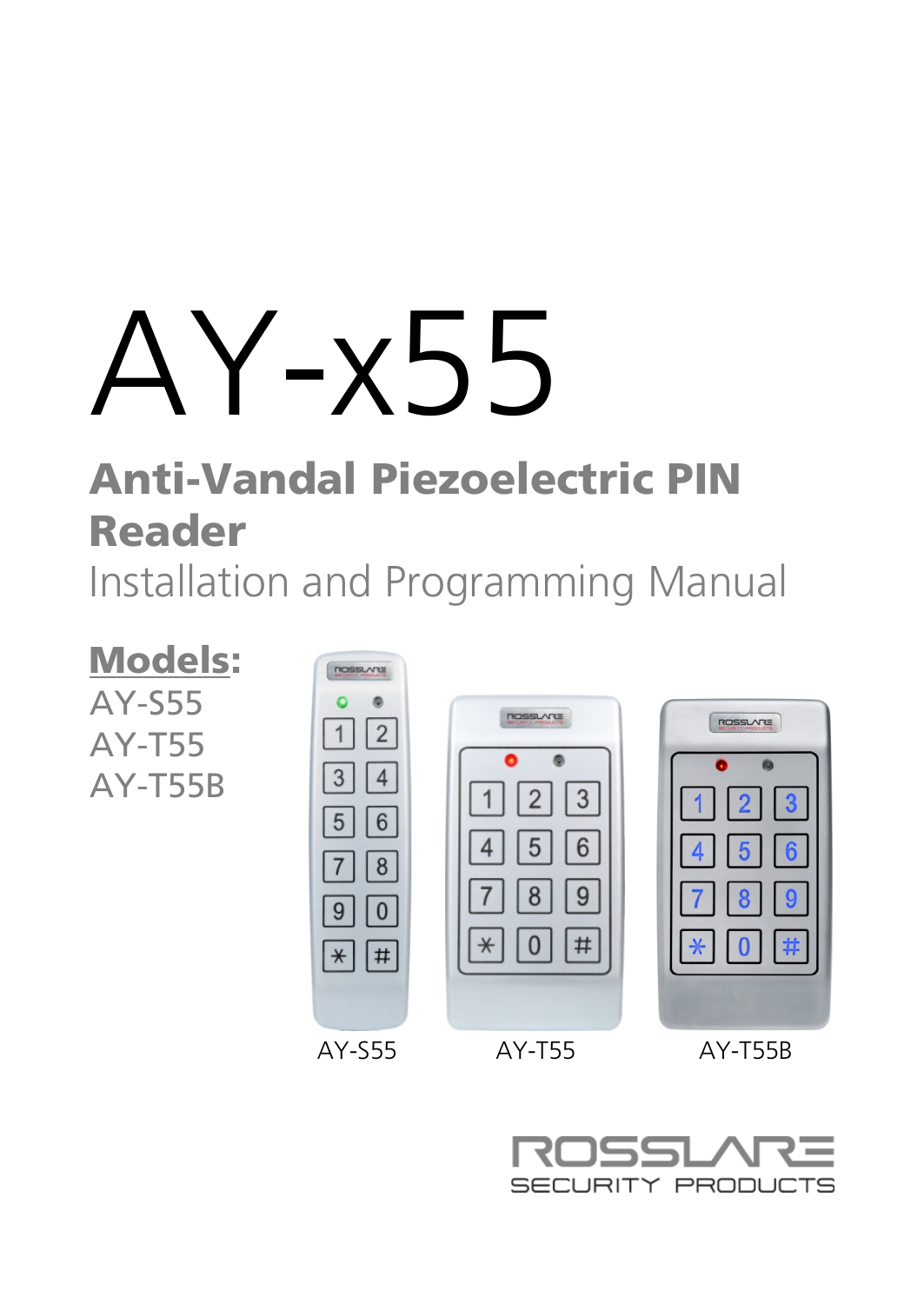.Y-x55

# Anti-Vandal Piezoelectric PIN Reader Installation and Programming Manual



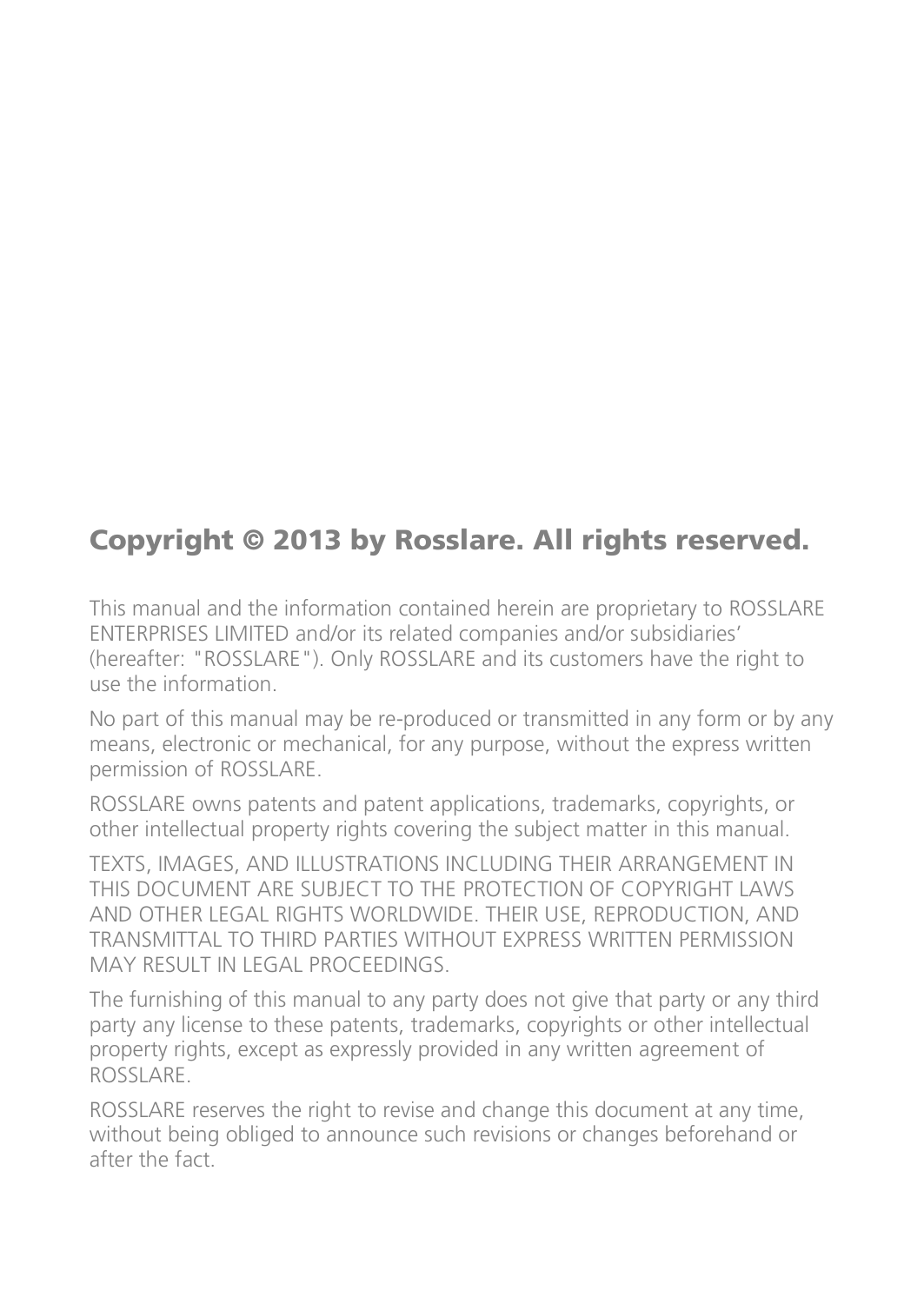# Copyright © 2013 by Rosslare. All rights reserved.

This manual and the information contained herein are proprietary to ROSSLARE ENTERPRISES LIMITED and/or its related companies and/or subsidiaries' (hereafter: "ROSSLARE"). Only ROSSLARE and its customers have the right to use the information.

No part of this manual may be re-produced or transmitted in any form or by any means, electronic or mechanical, for any purpose, without the express written permission of ROSSLARE.

ROSSLARE owns patents and patent applications, trademarks, copyrights, or other intellectual property rights covering the subject matter in this manual.

TEXTS, IMAGES, AND ILLUSTRATIONS INCLUDING THEIR ARRANGEMENT IN THIS DOCUMENT ARE SUBJECT TO THE PROTECTION OF COPYRIGHT LAWS AND OTHER LEGAL RIGHTS WORLDWIDE. THEIR USE, REPRODUCTION, AND TRANSMITTAL TO THIRD PARTIES WITHOUT EXPRESS WRITTEN PERMISSION MAY RESULT IN LEGAL PROCEEDINGS.

The furnishing of this manual to any party does not give that party or any third party any license to these patents, trademarks, copyrights or other intellectual property rights, except as expressly provided in any written agreement of ROSSLARE.

ROSSLARE reserves the right to revise and change this document at any time, without being obliged to announce such revisions or changes beforehand or after the fact.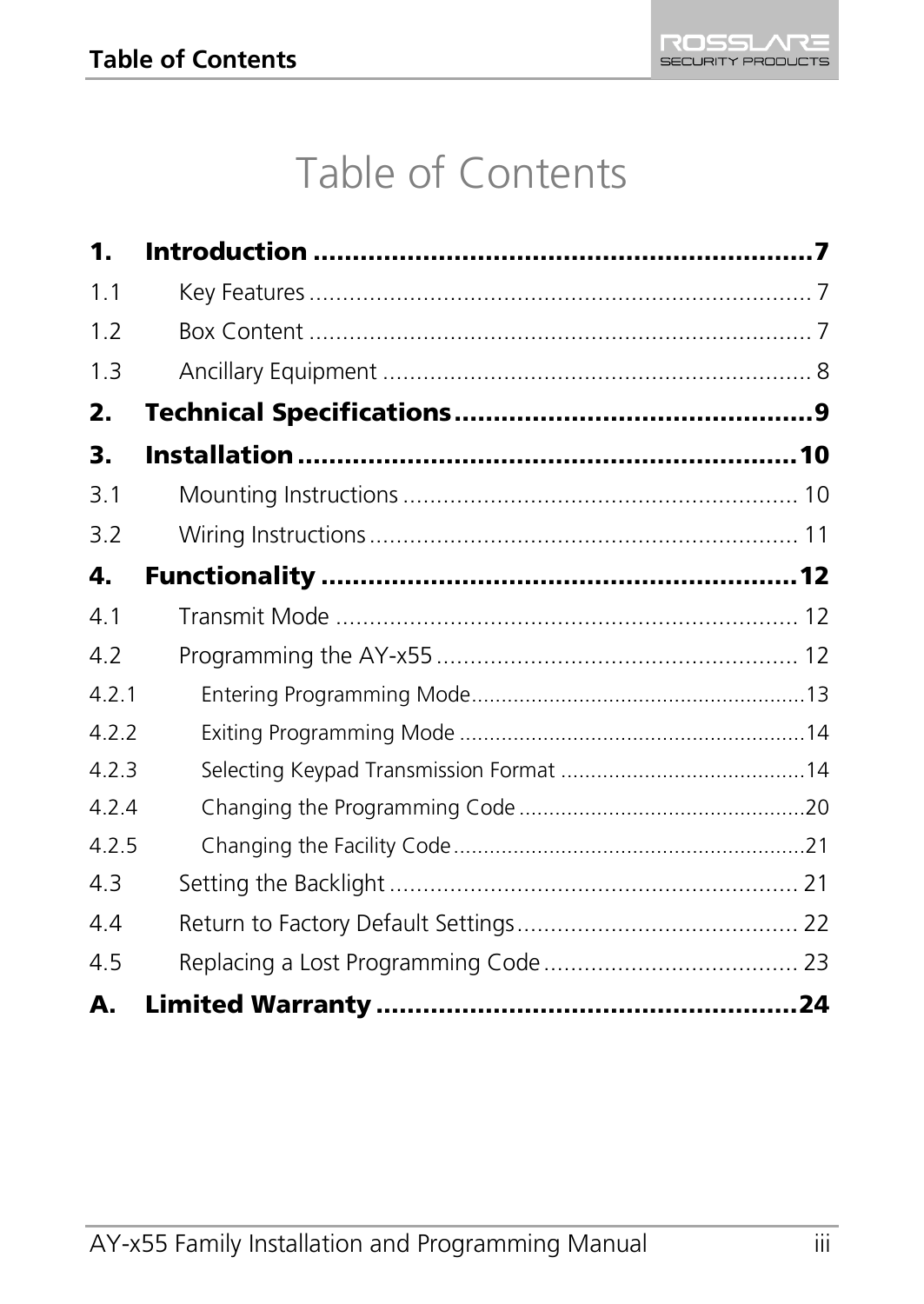# Table of Contents

| 1.    |  |
|-------|--|
| 1.1   |  |
| 1.2   |  |
| 1.3   |  |
| 2.    |  |
| 3.    |  |
| 3.1   |  |
| 3.2   |  |
| 4.    |  |
| 4.1   |  |
| 4.2   |  |
| 4.2.1 |  |
| 422   |  |
| 4.2.3 |  |
| 4.2.4 |  |
| 4.2.5 |  |
| 4.3   |  |
| 4.4   |  |
| 4.5   |  |
| А.    |  |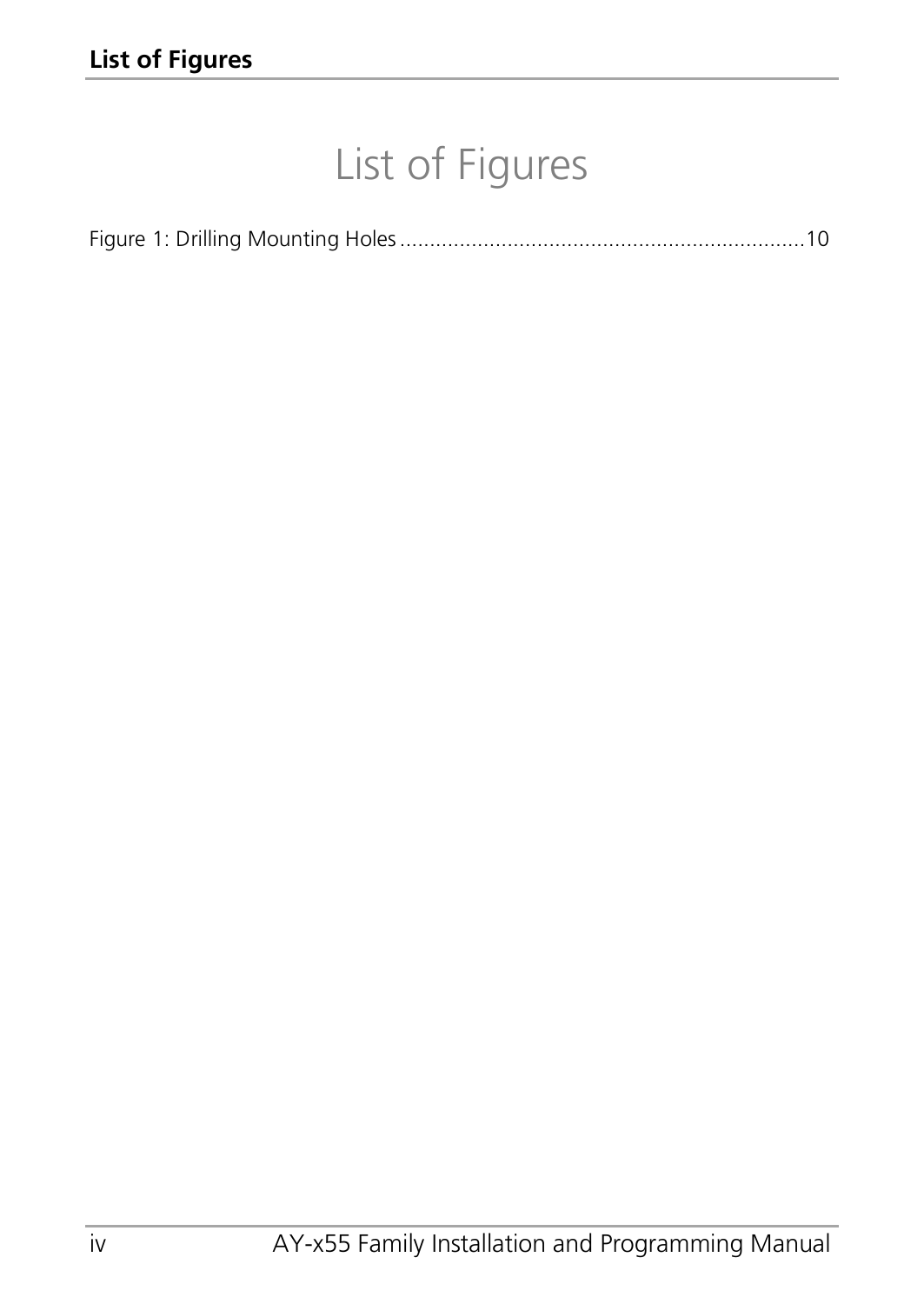# List of Figures

|--|--|--|--|--|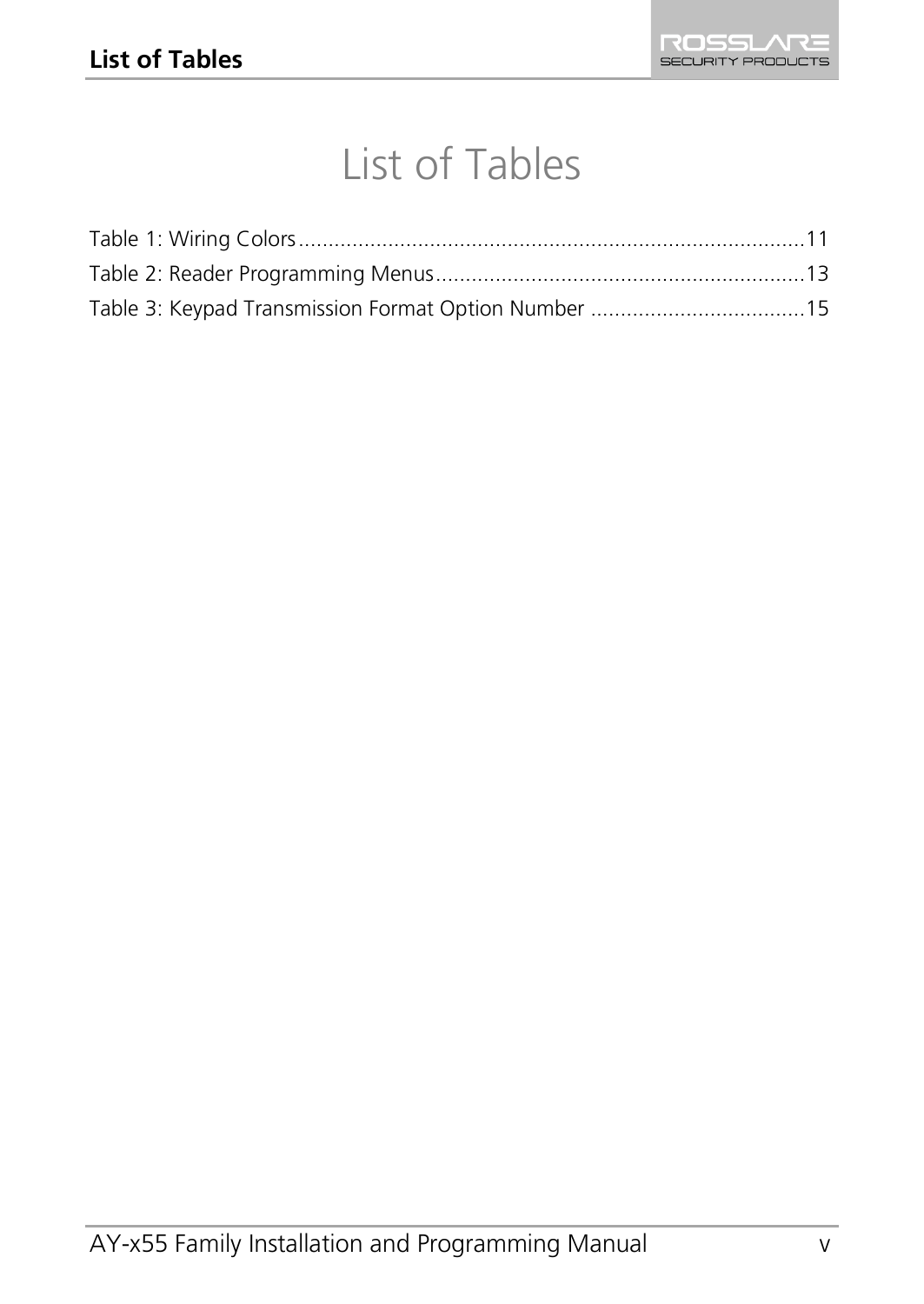# List of Tables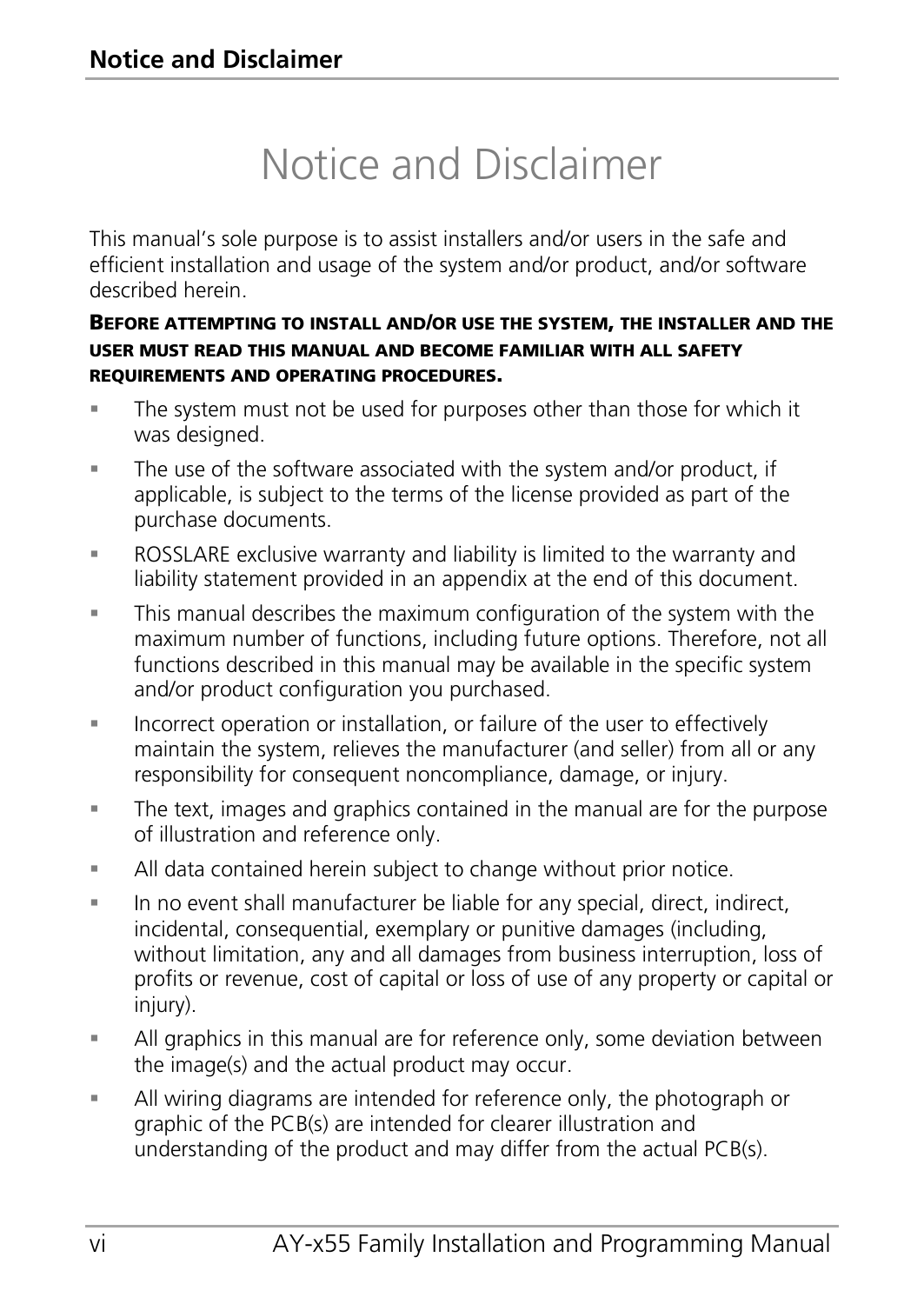# Notice and Disclaimer

This manual's sole purpose is to assist installers and/or users in the safe and efficient installation and usage of the system and/or product, and/or software described herein.

#### BEFORE ATTEMPTING TO INSTALL AND/OR USE THE SYSTEM, THE INSTALLER AND THE USER MUST READ THIS MANUAL AND BECOME FAMILIAR WITH ALL SAFETY REQUIREMENTS AND OPERATING PROCEDURES.

- The system must not be used for purposes other than those for which it was designed.
- The use of the software associated with the system and/or product, if applicable, is subject to the terms of the license provided as part of the purchase documents.
- ROSSLARE exclusive warranty and liability is limited to the warranty and liability statement provided in an appendix at the end of this document.
- This manual describes the maximum configuration of the system with the maximum number of functions, including future options. Therefore, not all functions described in this manual may be available in the specific system and/or product configuration you purchased.
- **Incorrect operation or installation, or failure of the user to effectively** maintain the system, relieves the manufacturer (and seller) from all or any responsibility for consequent noncompliance, damage, or injury.
- The text, images and graphics contained in the manual are for the purpose of illustration and reference only.
- All data contained herein subject to change without prior notice.
- In no event shall manufacturer be liable for any special, direct, indirect, incidental, consequential, exemplary or punitive damages (including, without limitation, any and all damages from business interruption, loss of profits or revenue, cost of capital or loss of use of any property or capital or injury).
- All graphics in this manual are for reference only, some deviation between the image(s) and the actual product may occur.
- All wiring diagrams are intended for reference only, the photograph or graphic of the PCB(s) are intended for clearer illustration and understanding of the product and may differ from the actual PCB(s).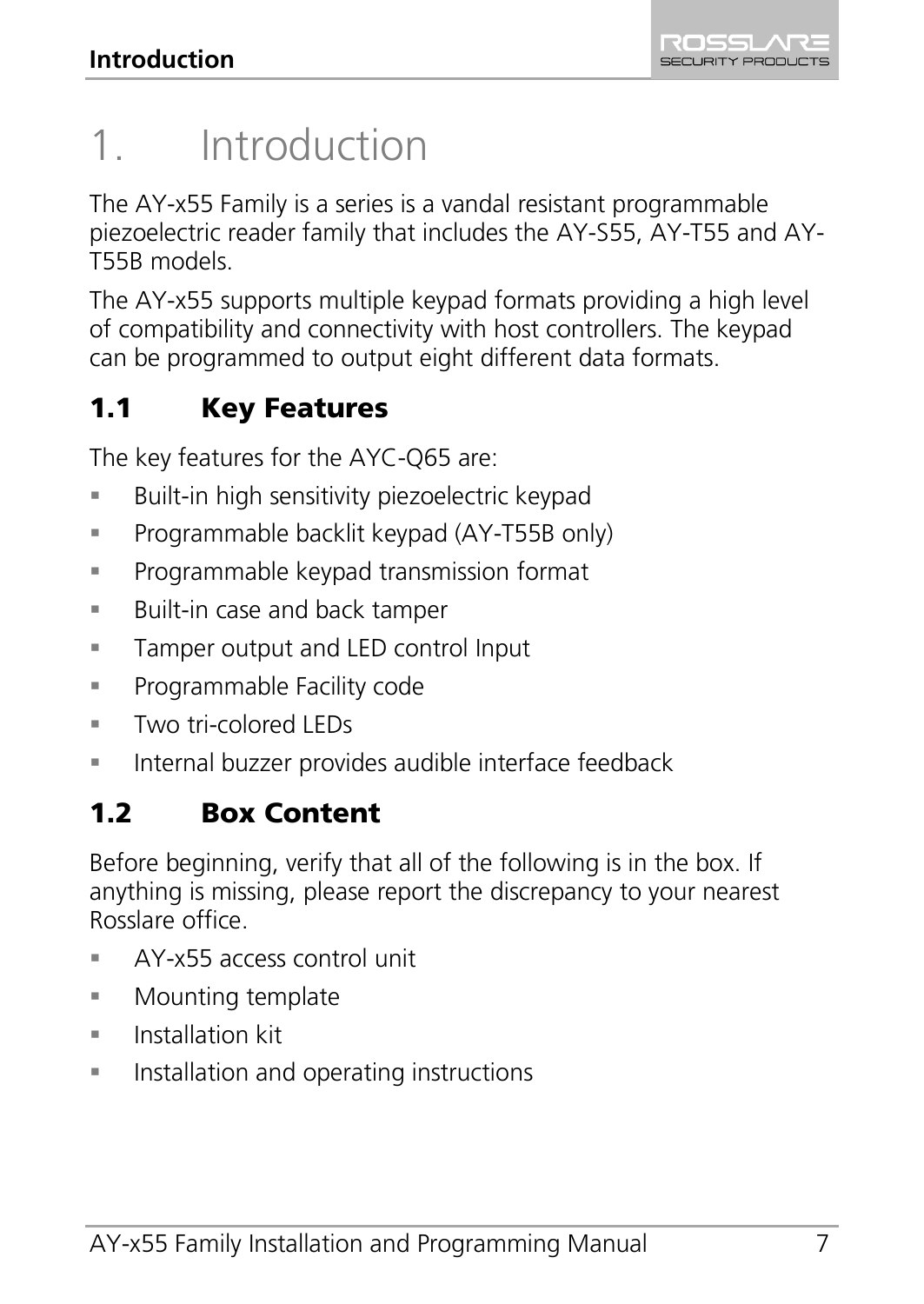# <span id="page-6-0"></span>1. Introduction

The AY-x55 Family is a series is a vandal resistant programmable piezoelectric reader family that includes the AY-S55, AY-T55 and AY-T55B models.

The AY-x55 supports multiple keypad formats providing a high level of compatibility and connectivity with host controllers. The keypad can be programmed to output eight different data formats.

# <span id="page-6-1"></span>1.1 Key Features

The key features for the AYC-Q65 are:

- Built-in high sensitivity piezoelectric keypad
- Programmable backlit keypad (AY-T55B only)
- Programmable keypad transmission format
- Built-in case and back tamper
- **Tamper output and LED control Input**
- Programmable Facility code
- Two tri-colored LEDs
- **Internal buzzer provides audible interface feedback**

# <span id="page-6-2"></span>1.2 Box Content

Before beginning, verify that all of the following is in the box. If anything is missing, please report the discrepancy to your nearest Rosslare office.

- AY-x55 access control unit
- **Mounting template**
- $\blacksquare$  Installation kit
- **Installation and operating instructions**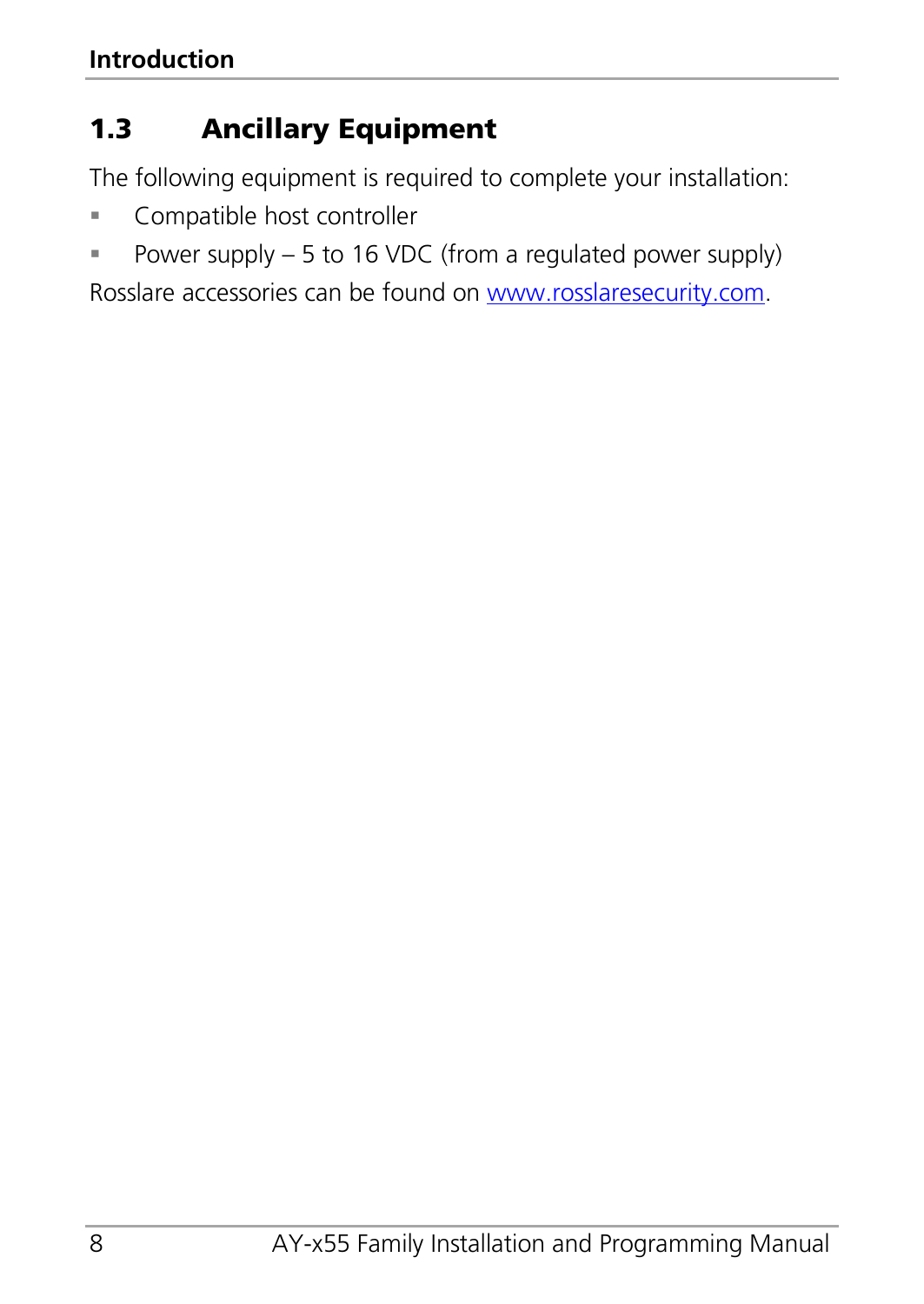# <span id="page-7-0"></span>1.3 Ancillary Equipment

The following equipment is required to complete your installation:

- Compatible host controller
- Power supply  $-5$  to 16 VDC (from a regulated power supply)

Rosslare accessories can be found on www.rosslaresecurity.com.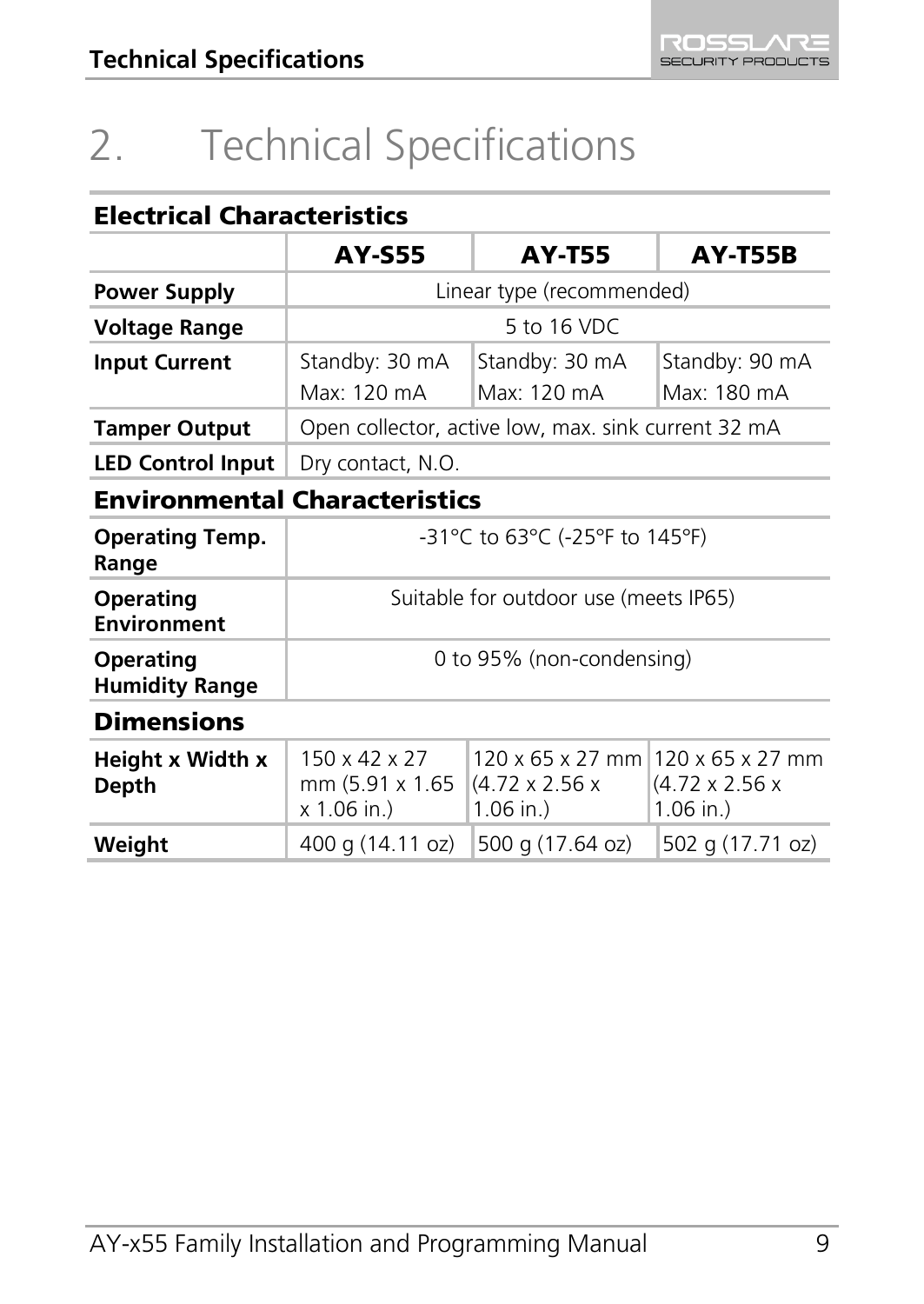# <span id="page-8-0"></span>2. Technical Specifications

## Electrical Characteristics

|                                      | <b>AY-S55</b>                                            | <b>AY-T55</b>                                                                  | <b>AY-T55B</b>                            |
|--------------------------------------|----------------------------------------------------------|--------------------------------------------------------------------------------|-------------------------------------------|
| Power Supply                         | Linear type (recommended)                                |                                                                                |                                           |
| Voltage Range                        | 5 to 16 VDC                                              |                                                                                |                                           |
| <b>Input Current</b>                 | Standby: 30 mA                                           | Standby: 30 mA                                                                 | Standby: 90 mA                            |
|                                      | Max: 120 mA                                              | Max: 120 mA                                                                    | Max: 180 mA                               |
| <b>Tamper Output</b>                 | Open collector, active low, max. sink current 32 mA      |                                                                                |                                           |
| <b>LED Control Input</b>             | Dry contact, N.O.                                        |                                                                                |                                           |
| <b>Environmental Characteristics</b> |                                                          |                                                                                |                                           |
| <b>Operating Temp.</b><br>Range      | -31°C to 63°C (-25°F to 145°F)                           |                                                                                |                                           |
| Operating<br>Environment             | Suitable for outdoor use (meets IP65)                    |                                                                                |                                           |
| Operating<br><b>Humidity Range</b>   | 0 to 95% (non-condensing)                                |                                                                                |                                           |
| <b>Dimensions</b>                    |                                                          |                                                                                |                                           |
| Height x Width x<br>Depth            | 150 x 42 x 27<br>mm (5.91 x 1.65<br>x 1.06 in.)          | 120 x 65 x 27 mm 120 x 65 x 27 mm<br>$(4.72 \times 2.56 \times$<br>$1.06$ in.) | $(4.72 \times 2.56 \times$<br>$1.06$ in.) |
| Weight                               | 400 g (14.11 oz)<br>500 g (17.64 oz)<br>502 g (17.71 oz) |                                                                                |                                           |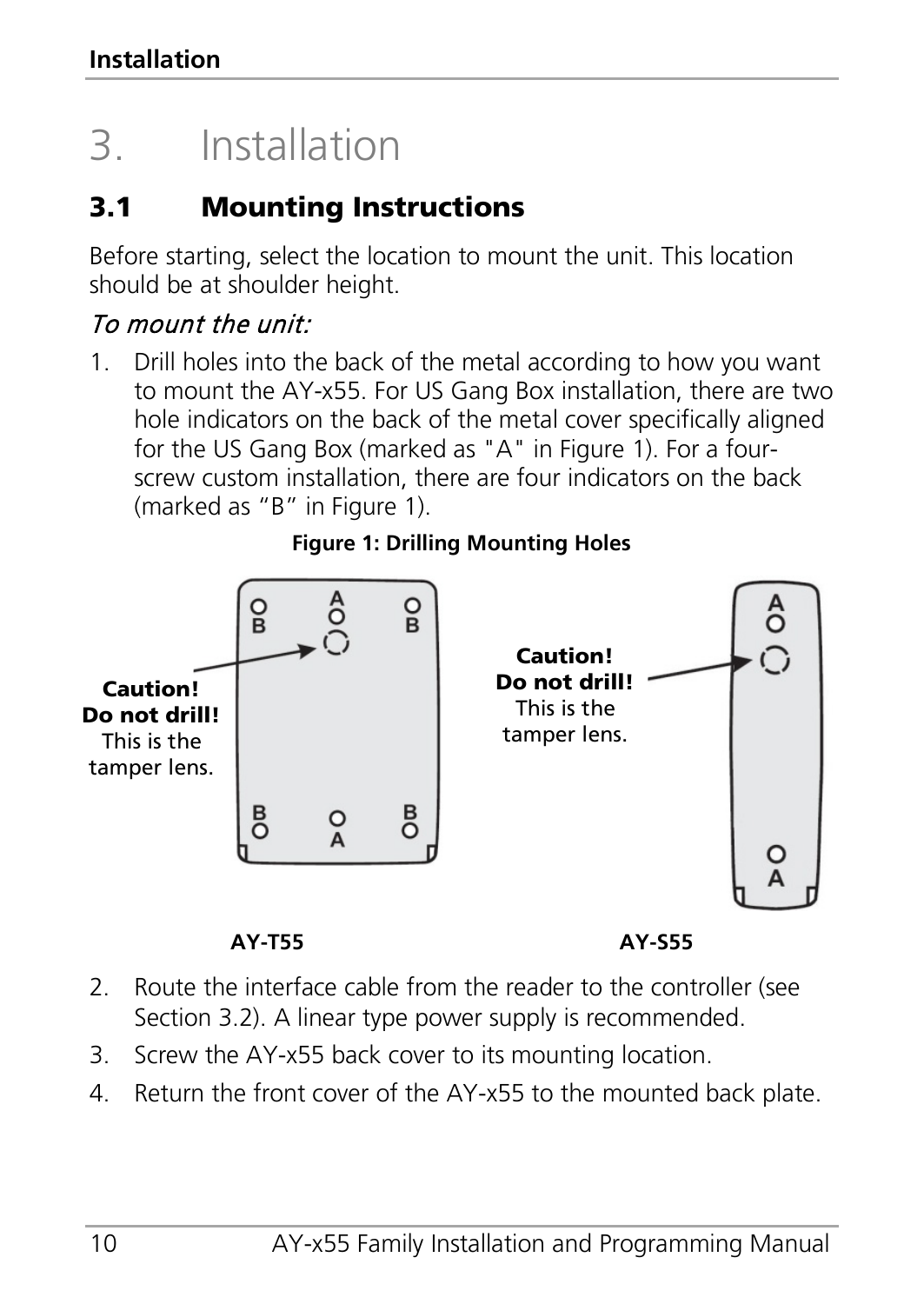# <span id="page-9-0"></span>3. Installation

# <span id="page-9-1"></span>3.1 Mounting Instructions

Before starting, select the location to mount the unit. This location should be at shoulder height.

## To mount the unit:

1. Drill holes into the back of the metal according to how you want to mount the AY-x55. For US Gang Box installation, there are two hole indicators on the back of the metal cover specifically aligned for the US Gang Box (marked as "A" in [Figure 1\)](#page-9-2). For a fourscrew custom installation, there are four indicators on the back (marked as "B" in [Figure 1\).](#page-9-2)

<span id="page-9-2"></span>

#### **Figure 1: Drilling Mounting Holes**



- 2. Route the interface cable from the reader to the controller (see Sectio[n 3.2\).](#page-10-0) A linear type power supply is recommended.
- 3. Screw the AY-x55 back cover to its mounting location.
- 4. Return the front cover of the AY-x55 to the mounted back plate.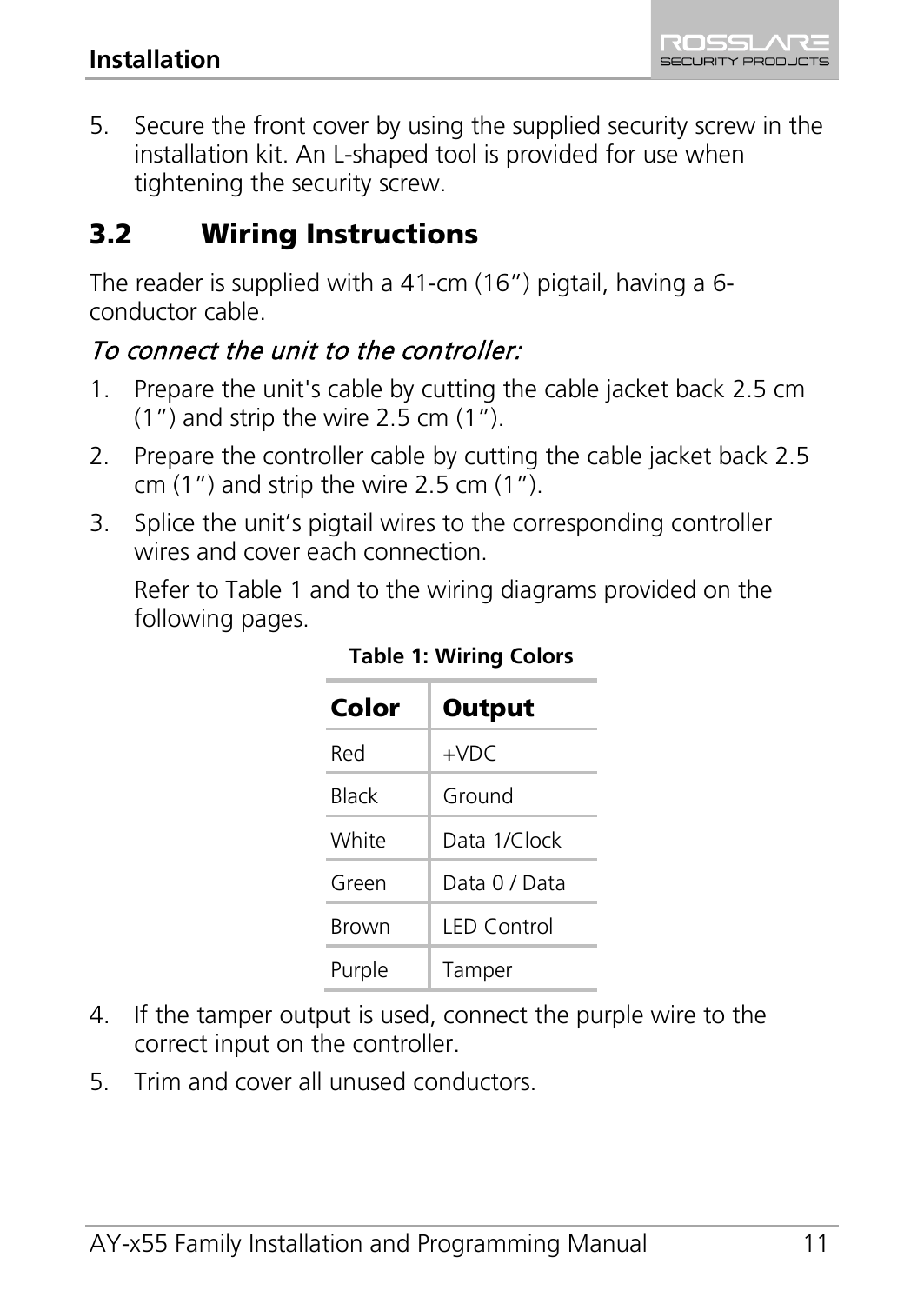5. Secure the front cover by using the supplied security screw in the installation kit. An L-shaped tool is provided for use when tightening the security screw.

# <span id="page-10-0"></span>3.2 Wiring Instructions

The reader is supplied with a 41-cm (16") pigtail, having a 6 conductor cable.

# To connect the unit to the controller:

- 1. Prepare the unit's cable by cutting the cable jacket back 2.5 cm (1") and strip the wire 2.5 cm (1").
- 2. Prepare the controller cable by cutting the cable jacket back 2.5 cm (1") and strip the wire 2.5 cm (1").
- 3. Splice the unit's pigtail wires to the corresponding controller wires and cover each connection.

<span id="page-10-1"></span>Refer t[o Table](#page-10-1) 1 and to the wiring diagrams provided on the following pages.

| Color  | Output             |
|--------|--------------------|
| Red    | +VDC               |
| Black  | Ground             |
| White  | Data 1/Clock       |
| Green  | Data 0 / Data      |
| Brown  | <b>LED Control</b> |
| Purple | Tamper             |

**Table 1: Wiring Colors**

- 4. If the tamper output is used, connect the purple wire to the correct input on the controller.
- 5. Trim and cover all unused conductors.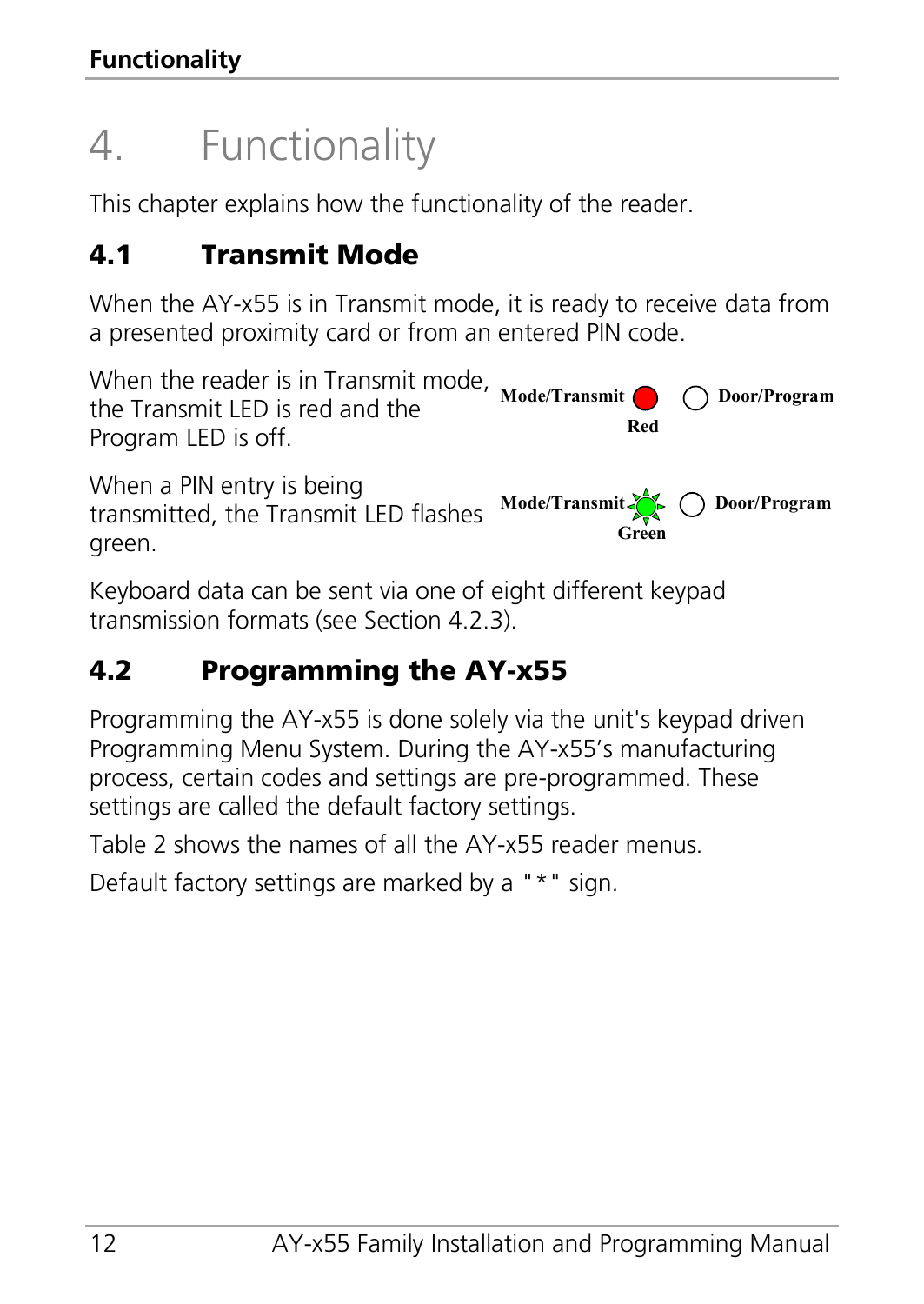# <span id="page-11-0"></span>4. Functionality

This chapter explains how the functionality of the reader.

# <span id="page-11-1"></span>4.1 Transmit Mode

When the AY-x55 is in Transmit mode, it is ready to receive data from a presented proximity card or from an entered PIN code.

When the reader is in Transmit mode, Mode/Transmit **O** and Door/Program the Transmit LED is red and the Program LED is off. **Red**

When a PIN entry is being transmitted, the Transmit LED flashes green.

**Mode/Transmit Door/Program Green**

Keyboard data can be sent via one of eight different keypad transmission formats (see Sectio[n 4.2.3\)](#page-13-1).

# <span id="page-11-2"></span>4.2 Programming the AY-x55

Programming the AY-x55 is done solely via the unit's keypad driven Programming Menu System. During the AY-x55's manufacturing process, certain codes and settings are pre-programmed. These settings are called the default factory settings.

[Table](#page-12-1) 2 shows the names of all the AY-x55 reader menus.

Default factory settings are marked by a "\*" sign.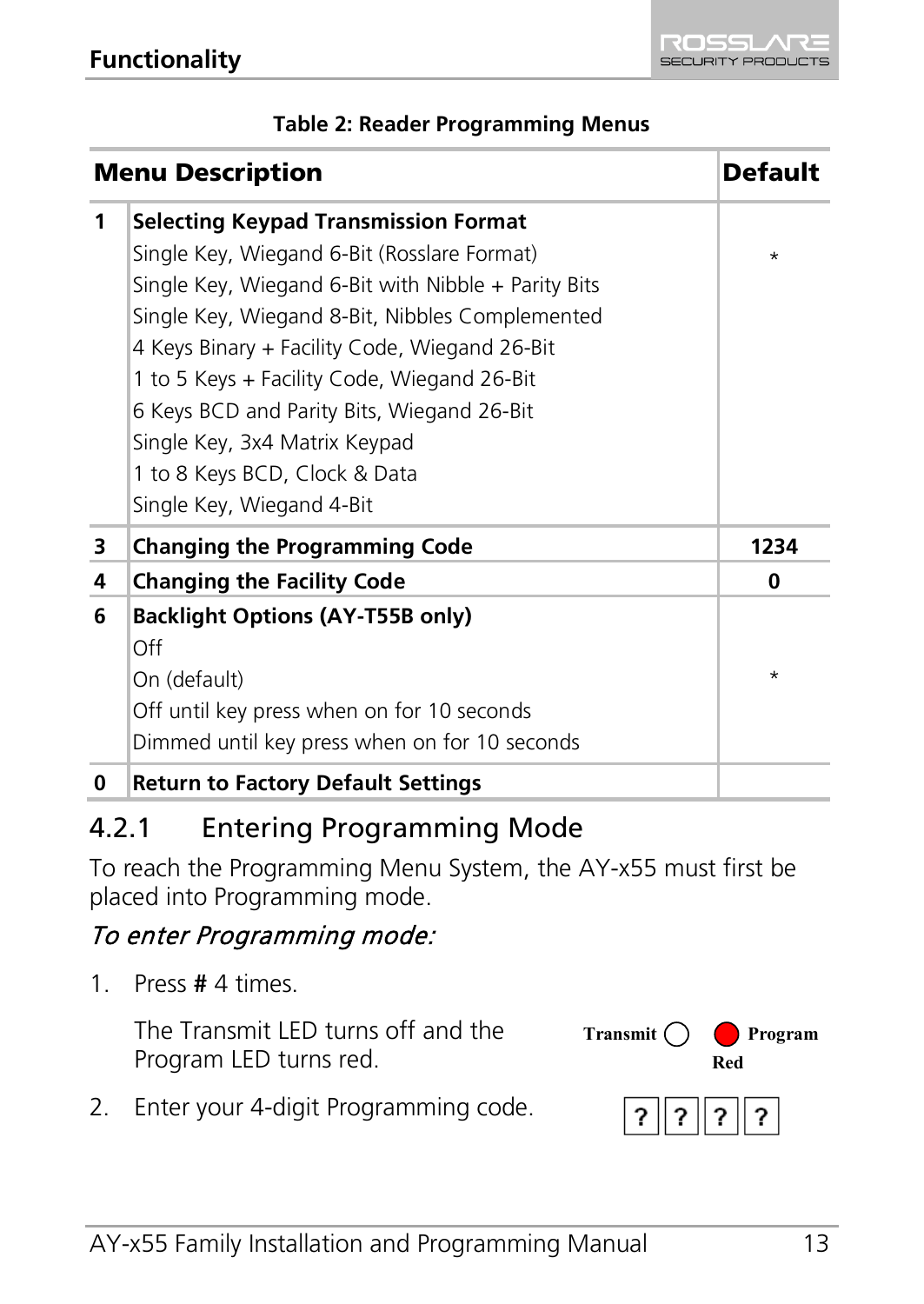<span id="page-12-1"></span>

| <b>Menu Description</b> |                                                                                                                                                                                                                                                                                                                                                                                                                                                     | Default  |
|-------------------------|-----------------------------------------------------------------------------------------------------------------------------------------------------------------------------------------------------------------------------------------------------------------------------------------------------------------------------------------------------------------------------------------------------------------------------------------------------|----------|
| 1                       | <b>Selecting Keypad Transmission Format</b><br>Single Key, Wiegand 6-Bit (Rosslare Format)<br>Single Key, Wiegand 6-Bit with Nibble $+$ Parity Bits<br>Single Key, Wiegand 8-Bit, Nibbles Complemented<br>4 Keys Binary + Facility Code, Wiegand 26-Bit<br>1 to 5 Keys + Facility Code, Wiegand 26-Bit<br>6 Keys BCD and Parity Bits, Wiegand 26-Bit<br>Single Key, 3x4 Matrix Keypad<br>1 to 8 Keys BCD, Clock & Data<br>Single Key, Wiegand 4-Bit | $^\star$ |
| з                       | <b>Changing the Programming Code</b>                                                                                                                                                                                                                                                                                                                                                                                                                | 1234     |
| 4                       | <b>Changing the Facility Code</b>                                                                                                                                                                                                                                                                                                                                                                                                                   | 0        |
| 6                       | <b>Backlight Options (AY-T55B only)</b><br>Off<br>On (default)<br>Off until key press when on for 10 seconds<br>Dimmed until key press when on for 10 seconds                                                                                                                                                                                                                                                                                       | *        |
| 0                       | <b>Return to Factory Default Settings</b>                                                                                                                                                                                                                                                                                                                                                                                                           |          |

#### **Table 2: Reader Programming Menus**

#### <span id="page-12-0"></span>4.2.1 Entering Programming Mode

To reach the Programming Menu System, the AY-x55 must first be placed into Programming mode.

#### To enter Programming mode:

1. Press **#** 4 times.

The Transmit LED turns off and the Program LED turns red.



2. Enter your 4-digit Programming code.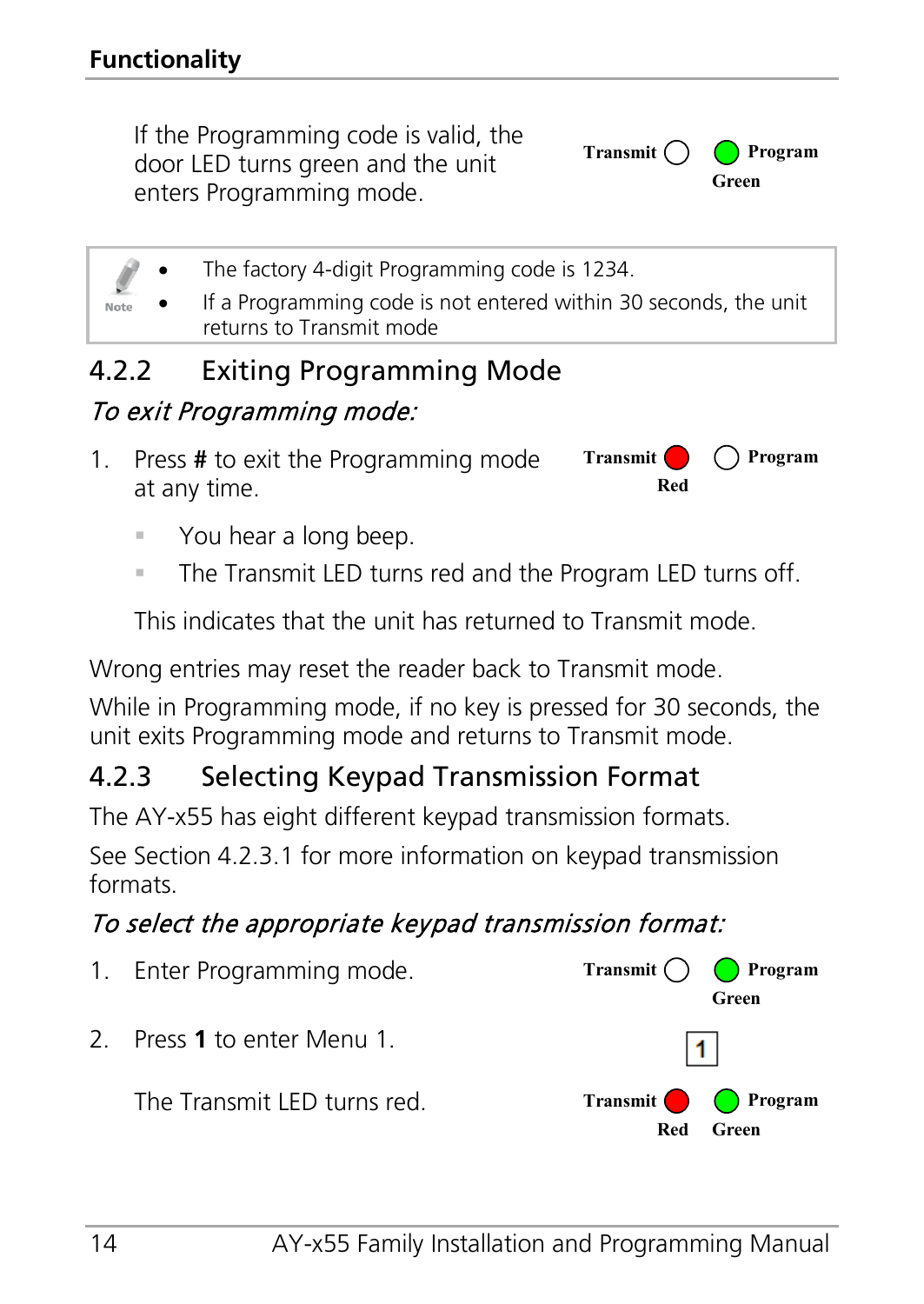If the Programming code is valid, the door LED turns green and the unit enters Programming mode.



The factory 4-digit Programming code is 1234.

• If a Programming code is not entered within 30 seconds, the unit returns to Transmit mode

# <span id="page-13-0"></span>4.2.2 Exiting Programming Mode

## To exit Programming mode:

- 1. Press **#** to exit the Programming mode at any time. **Transmit**  $\bigcirc$  ( ) Program **Red**
	- You hear a long beep.
	- **The Transmit LED turns red and the Program LED turns off.**

This indicates that the unit has returned to Transmit mode.

Wrong entries may reset the reader back to Transmit mode.

While in Programming mode, if no key is pressed for 30 seconds, the unit exits Programming mode and returns to Transmit mode.

## <span id="page-13-1"></span>4.2.3 Selecting Keypad Transmission Format

The AY-x55 has eight different keypad transmission formats.

See Sectio[n 4.2.3.1](#page-14-1) for more information on keypad transmission formats.

## To select the appropriate keypad transmission format:

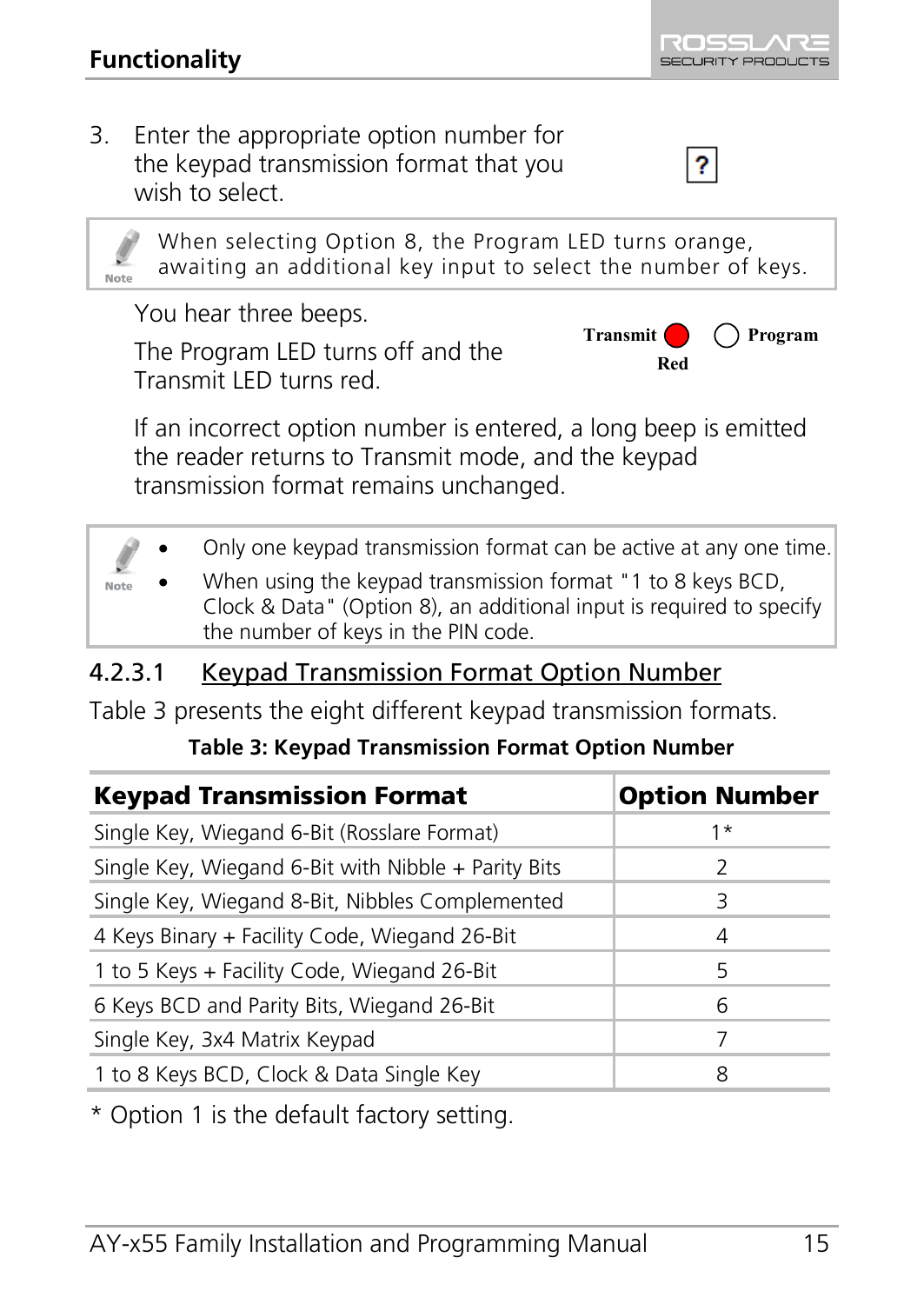3. Enter the appropriate option number for the keypad transmission format that you wish to select.



You hear three beeps.

The Program LED turns off and the Transmit LED turns red.



 $\overline{\mathbf{r}}$ 

If an incorrect option number is entered, a long beep is emitted the reader returns to Transmit mode, and the keypad transmission format remains unchanged.

• Only one keypad transmission format can be active at any one time. • When using the keypad transmission format "1 to 8 keys BCD, Note Clock & Data" (Option 8), an additional input is required to specify the number of keys in the PIN code.

#### <span id="page-14-1"></span>4.2.3.1 Keypad Transmission Format Option Number

<span id="page-14-0"></span>[Table 3](#page-14-0) presents the eight different keypad transmission formats.

#### **Table 3: Keypad Transmission Format Option Number**

| <b>Keypad Transmission Format</b>                   | <b>Option Number</b> |
|-----------------------------------------------------|----------------------|
| Single Key, Wiegand 6-Bit (Rosslare Format)         | 1*                   |
| Single Key, Wiegand 6-Bit with Nibble + Parity Bits | 2                    |
| Single Key, Wiegand 8-Bit, Nibbles Complemented     | Β                    |
| 4 Keys Binary + Facility Code, Wiegand 26-Bit       | 4                    |
| 1 to 5 Keys + Facility Code, Wiegand 26-Bit         | 5                    |
| 6 Keys BCD and Parity Bits, Wiegand 26-Bit          | 6                    |
| Single Key, 3x4 Matrix Keypad                       |                      |
| 1 to 8 Keys BCD, Clock & Data Single Key            | 8                    |

\* Option 1 is the default factory setting.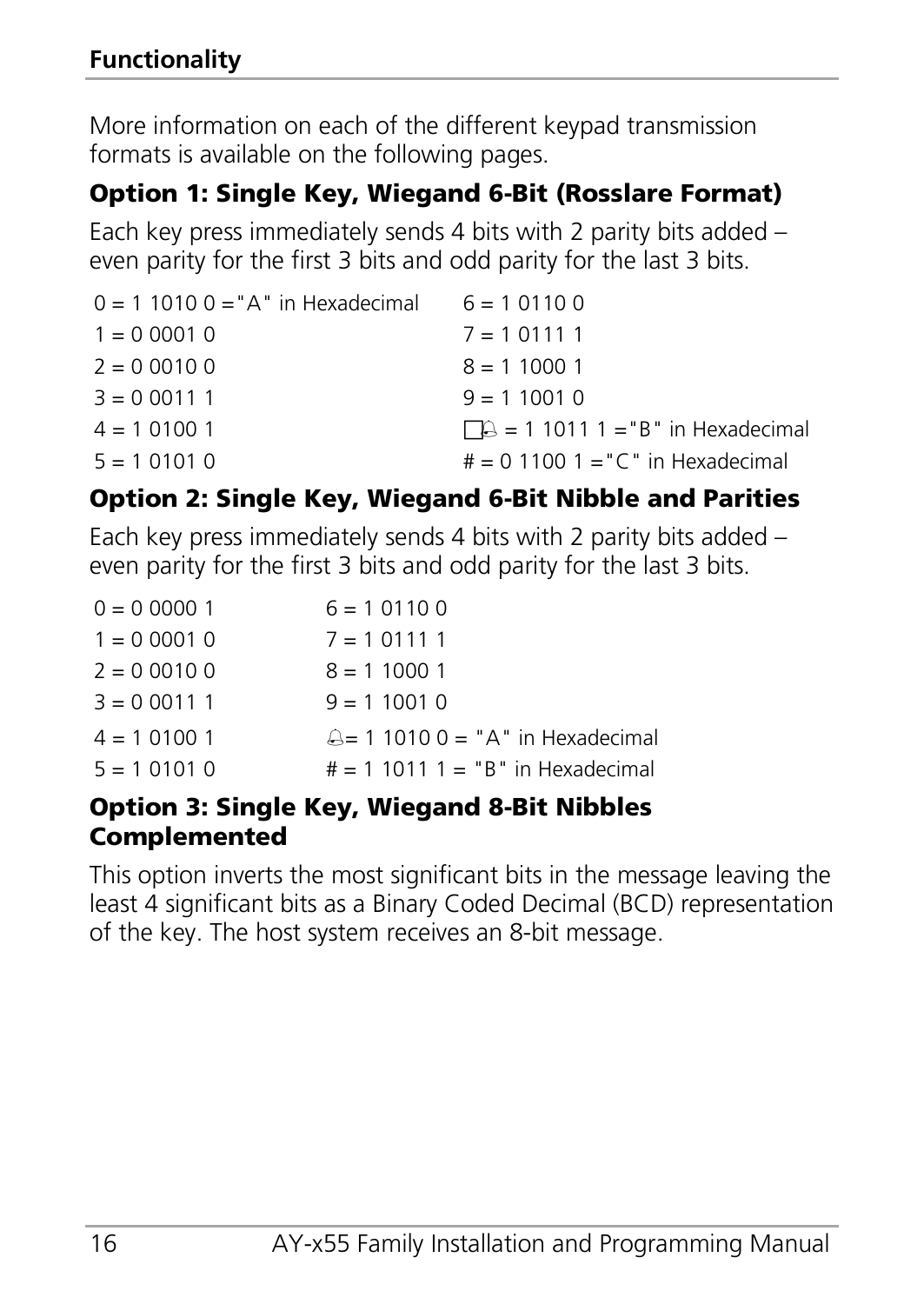More information on each of the different keypad transmission formats is available on the following pages.

## Option 1: Single Key, Wiegand 6-Bit (Rosslare Format)

Each key press immediately sends 4 bits with 2 parity bits added – even parity for the first 3 bits and odd parity for the last 3 bits.

| $0 = 1$ 1010 $0 = A''$ in Hexadecimal $6 = 1$ 0110 0 |                                        |
|------------------------------------------------------|----------------------------------------|
| $1 = 0,0001,0$                                       | $7 = 101111$                           |
| $2 = 0,0010,0$                                       | $8 = 110001$                           |
| $3 = 0.00111$                                        | $9 = 110010$                           |
| $4 = 101001$                                         | $\Box$ = 1 1011 1 = "B" in Hexadecimal |
| $5 = 101010$                                         | $# = 0$ 1100 1 = "C" in Hexadecimal    |

## Option 2: Single Key, Wiegand 6-Bit Nibble and Parities

Each key press immediately sends 4 bits with 2 parity bits added – even parity for the first 3 bits and odd parity for the last 3 bits.

| $0 = 0,00001$  | $6 = 101100$                        |
|----------------|-------------------------------------|
| $1 = 0,0001,0$ | $7 = 101111$                        |
| $2 = 0.00100$  | $8 = 110001$                        |
| $3 = 0.00111$  | $9 = 110010$                        |
| $4 = 101001$   | $A = 1$ 1010 0 = "A" in Hexadecimal |
| $5 = 101010$   | $# = 1 10111 = "B"$ in Hexadecimal  |

#### Option 3: Single Key, Wiegand 8-Bit Nibbles Complemented

This option inverts the most significant bits in the message leaving the least 4 significant bits as a Binary Coded Decimal (BCD) representation of the key. The host system receives an 8-bit message.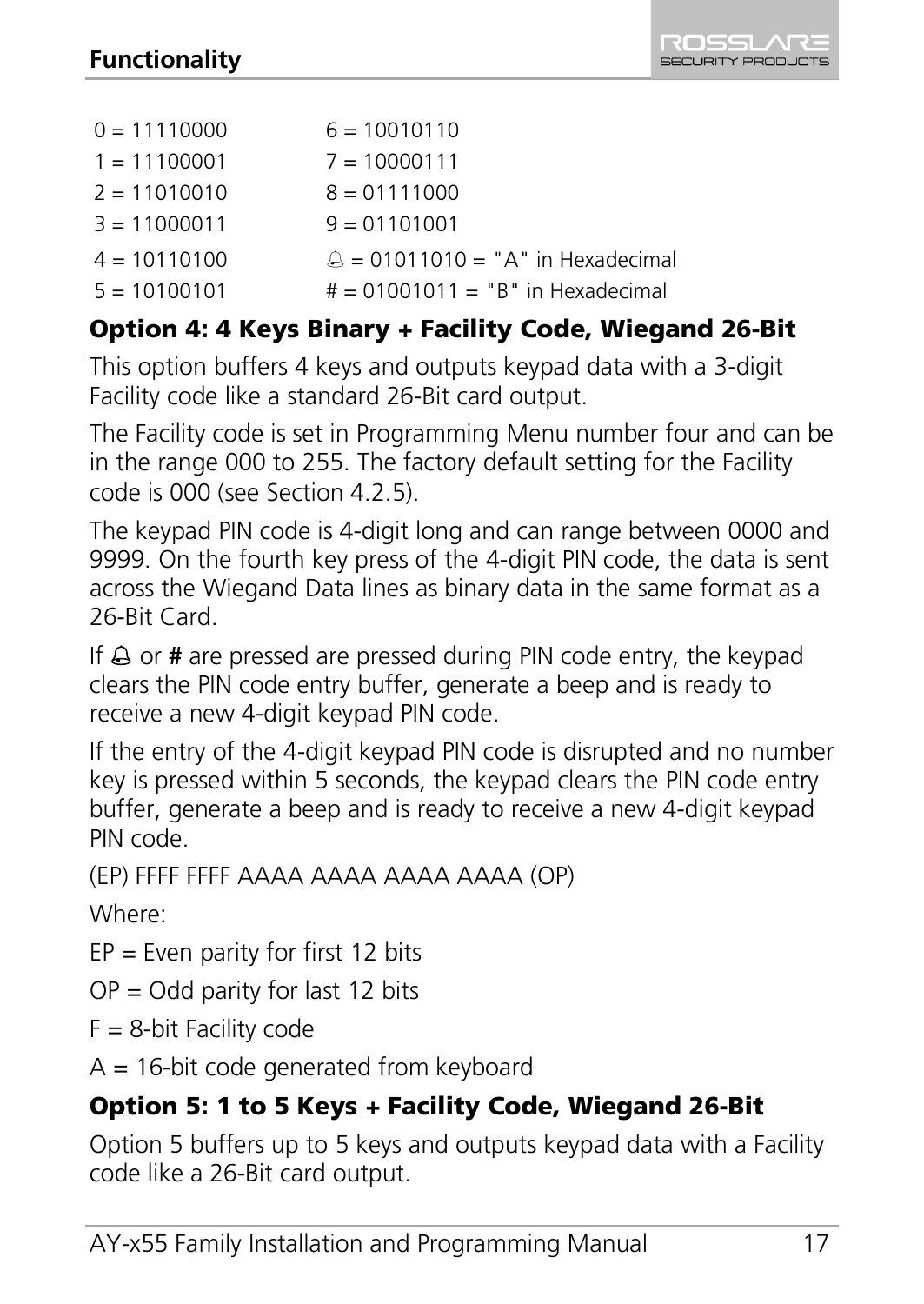| $0 = 11110000$ | $6 = 10010110$                      |
|----------------|-------------------------------------|
| $1 = 11100001$ | $7 = 10000111$                      |
| $2 = 11010010$ | $8 = 01111000$                      |
| $3 = 11000011$ | $9 = 01101001$                      |
| $4 = 10110100$ | $A = 01011010 = "A"$ in Hexadecimal |
| $5 = 10100101$ | $# = 01001011 = "B"$ in Hexadecimal |

#### Option 4: 4 Keys Binary + Facility Code, Wiegand 26-Bit

This option buffers 4 keys and outputs keypad data with a 3-digit Facility code like a standard 26-Bit card output.

The Facility code is set in Programming Menu number four and can be in the range 000 to 255. The factory default setting for the Facility code is 000 (see Section [4.2.5\).](#page-20-0)

The keypad PIN code is 4-digit long and can range between 0000 and 9999. On the fourth key press of the 4-digit PIN code, the data is sent across the Wiegand Data lines as binary data in the same format as a 26-Bit Card.

If  $\triangle$  or **#** are pressed are pressed during PIN code entry, the keypad clears the PIN code entry buffer, generate a beep and is ready to receive a new 4-digit keypad PIN code.

If the entry of the 4-digit keypad PIN code is disrupted and no number key is pressed within 5 seconds, the keypad clears the PIN code entry buffer, generate a beep and is ready to receive a new 4-digit keypad PIN code.

(EP) FFFF FFFF AAAA AAAA AAAA AAAA (OP)

Where:

 $EP = Even$  parity for first 12 bits

 $OP = Odd$  parity for last 12 bits

 $F = 8$ -bit Facility code

 $A = 16$ -bit code generated from keyboard

# Option 5: 1 to 5 Keys + Facility Code, Wiegand 26-Bit

Option 5 buffers up to 5 keys and outputs keypad data with a Facility code like a 26-Bit card output.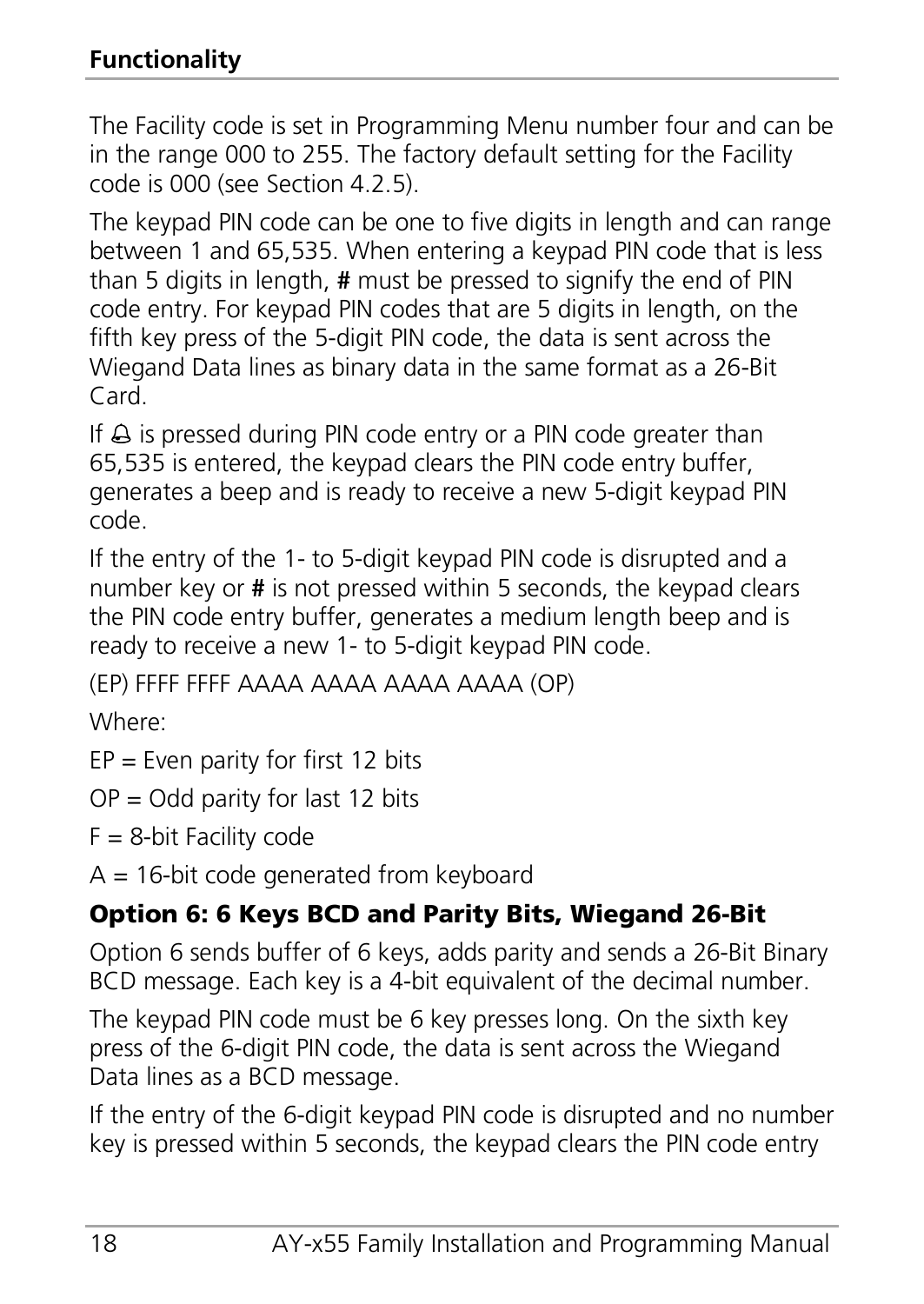The Facility code is set in Programming Menu number four and can be in the range 000 to 255. The factory default setting for the Facility code is 000 (see Section [4.2.5\).](#page-20-0)

The keypad PIN code can be one to five digits in length and can range between 1 and 65,535. When entering a keypad PIN code that is less than 5 digits in length, **#** must be pressed to signify the end of PIN code entry. For keypad PIN codes that are 5 digits in length, on the fifth key press of the 5-digit PIN code, the data is sent across the Wiegand Data lines as binary data in the same format as a 26-Bit Card.

If  $\triangle$  is pressed during PIN code entry or a PIN code greater than 65,535 is entered, the keypad clears the PIN code entry buffer, generates a beep and is ready to receive a new 5-digit keypad PIN code.

If the entry of the 1- to 5-digit keypad PIN code is disrupted and a number key or **#** is not pressed within 5 seconds, the keypad clears the PIN code entry buffer, generates a medium length beep and is ready to receive a new 1- to 5-digit keypad PIN code.

(EP) FFFF FFFF AAAA AAAA AAAA AAAA (OP)

Where:

 $EP = Even$  parity for first 12 bits

 $OP = Odd$  parity for last 12 bits

 $F = 8$ -bit Facility code

 $A = 16$ -bit code generated from keyboard

# Option 6: 6 Keys BCD and Parity Bits, Wiegand 26-Bit

Option 6 sends buffer of 6 keys, adds parity and sends a 26-Bit Binary BCD message. Each key is a 4-bit equivalent of the decimal number.

The kevpad PIN code must be 6 key presses long. On the sixth key press of the 6-digit PIN code, the data is sent across the Wiegand Data lines as a BCD message.

If the entry of the 6-digit keypad PIN code is disrupted and no number key is pressed within 5 seconds, the keypad clears the PIN code entry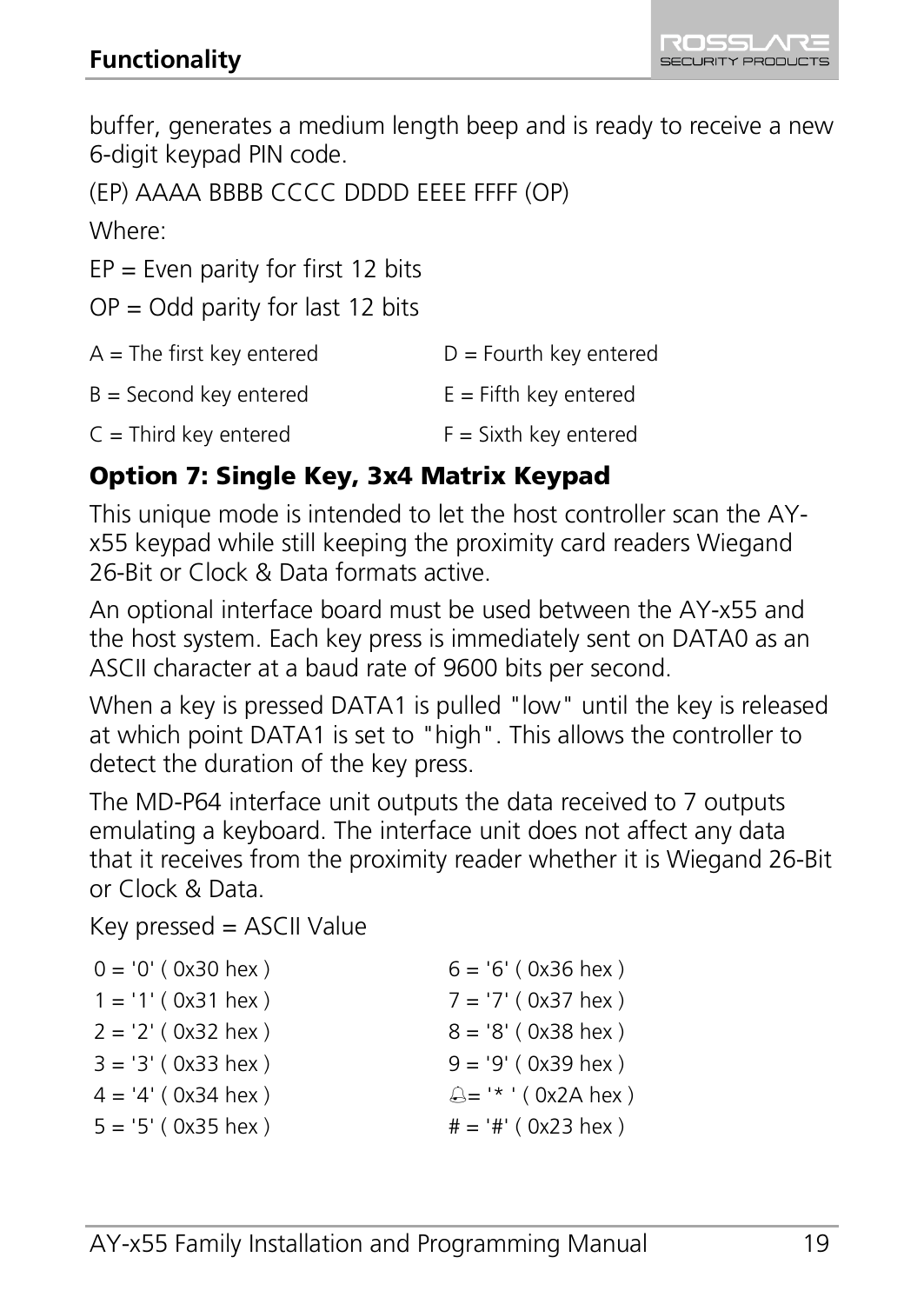buffer, generates a medium length beep and is ready to receive a new 6-digit keypad PIN code.

```
(EP) AAAA BBBB CCCC DDDD EEEE FFFF (OP)
```
Where:

 $EP = Even$  parity for first 12 bits

 $OP = Odd$  parity for last 12 bits

| $A =$ The first key entered | $D =$ Fourth key entered |
|-----------------------------|--------------------------|
| $B =$ Second key entered    | $E =$ Fifth key entered  |
| $C =$ Third key entered     | $F =$ Sixth key entered  |

#### Option 7: Single Key, 3x4 Matrix Keypad

This unique mode is intended to let the host controller scan the AYx55 keypad while still keeping the proximity card readers Wiegand 26-Bit or Clock & Data formats active.

An optional interface board must be used between the AY-x55 and the host system. Each key press is immediately sent on DATA0 as an ASCII character at a baud rate of 9600 bits per second.

When a key is pressed DATA1 is pulled "low" until the key is released at which point DATA1 is set to "high". This allows the controller to detect the duration of the key press.

The MD-P64 interface unit outputs the data received to 7 outputs emulating a keyboard. The interface unit does not affect any data that it receives from the proximity reader whether it is Wiegand 26-Bit or Clock & Data.

Key pressed = ASCII Value

| $0 = '0'$ (0x30 hex) | $6 = 6'$ (0x36 hex)   |
|----------------------|-----------------------|
| $1 = '1' (0x31$ hex) | $7 = '7'$ (0x37 hex)  |
| $2 = '2'$ (0x32 hex) | $8 = '8'$ (0x38 hex)  |
| $3 = 3' (0x33$ hex ) | $9 = '9'$ (0x39 hex)  |
| $4 = 4' (0x34$ hex)  | A= '* ' (0x2A hex)    |
| $5 = '5' (0x35$ hex) | $# = '#' ( 0x23$ hex) |
|                      |                       |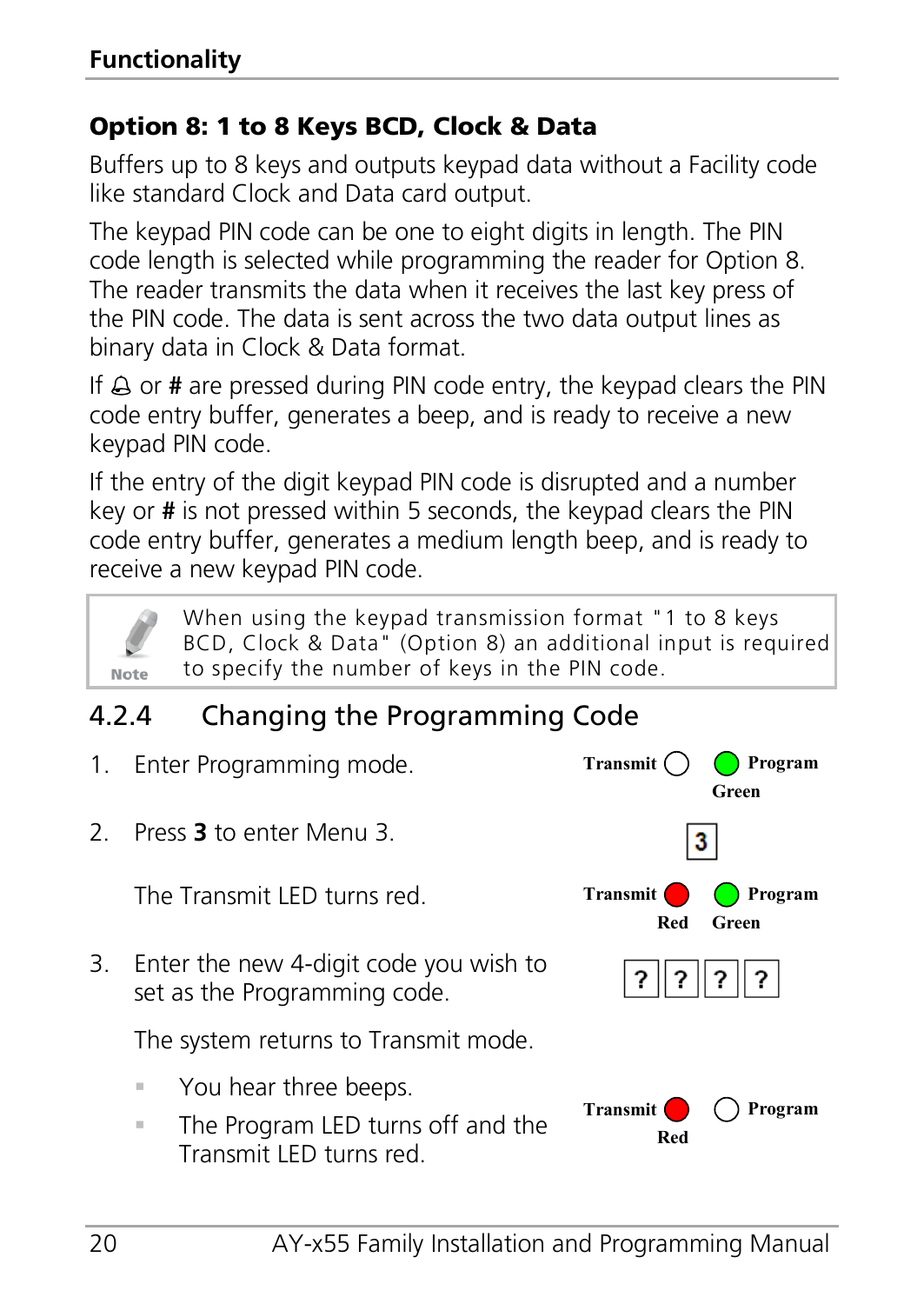#### Option 8: 1 to 8 Keys BCD, Clock & Data

Buffers up to 8 keys and outputs keypad data without a Facility code like standard Clock and Data card output.

The keypad PIN code can be one to eight digits in length. The PIN code length is selected while programming the reader for Option 8. The reader transmits the data when it receives the last key press of the PIN code. The data is sent across the two data output lines as binary data in Clock & Data format.

If  $\triangle$  or **#** are pressed during PIN code entry, the keypad clears the PIN code entry buffer, generates a beep, and is ready to receive a new keypad PIN code.

If the entry of the digit keypad PIN code is disrupted and a number key or **#** is not pressed within 5 seconds, the keypad clears the PIN code entry buffer, generates a medium length beep, and is ready to receive a new keypad PIN code.



When using the keypad transmission format "1 to 8 keys BCD, Clock & Data" (Option 8) an additional input is required to specify the number of keys in the PIN code.

# <span id="page-19-0"></span>4.2.4 Changing the Programming Code

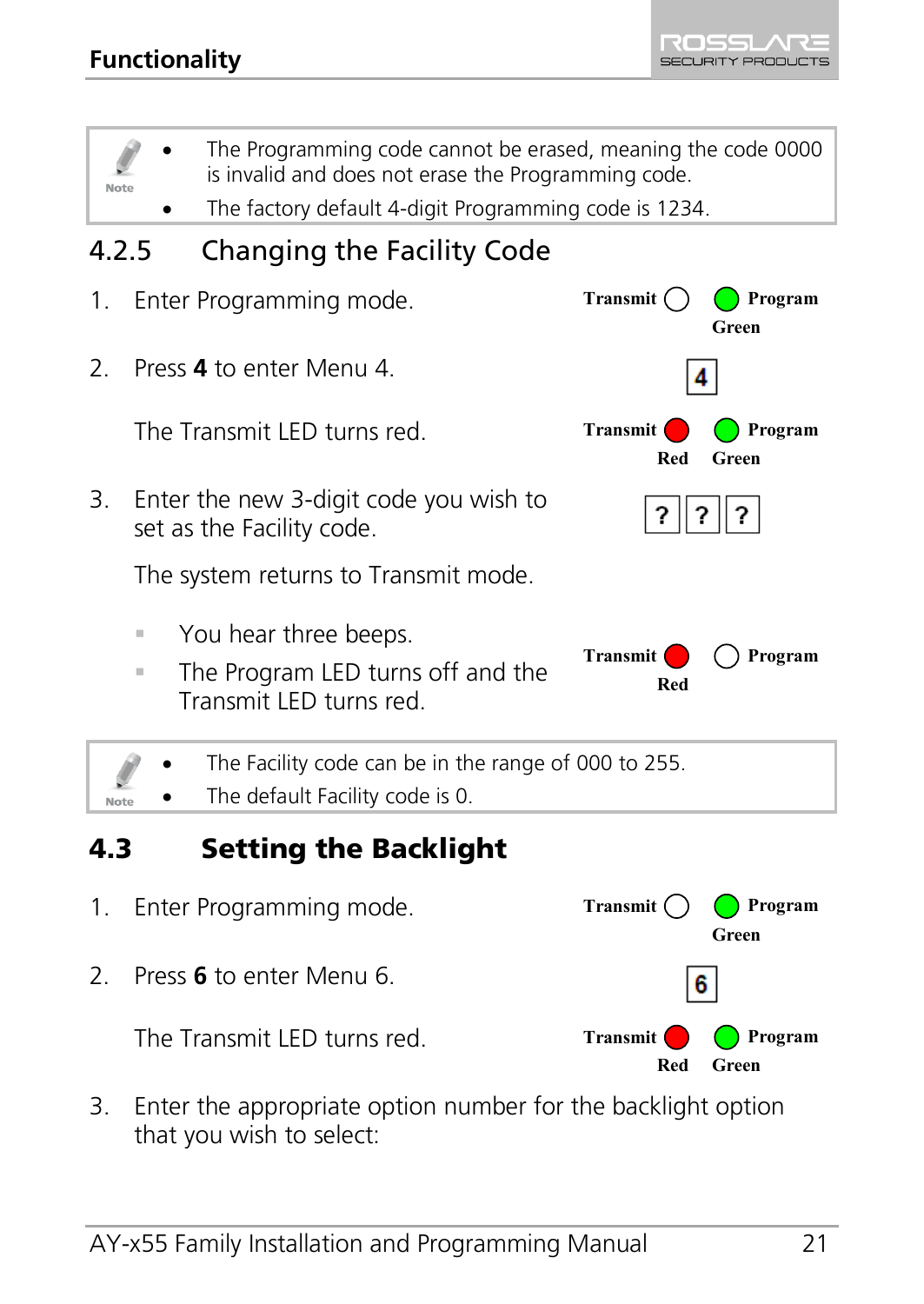ROSSL SECURITY PRODUCTS

<span id="page-20-0"></span>

<span id="page-20-1"></span>The Transmit LED turns red.



3. Enter the appropriate option number for the backlight option that you wish to select: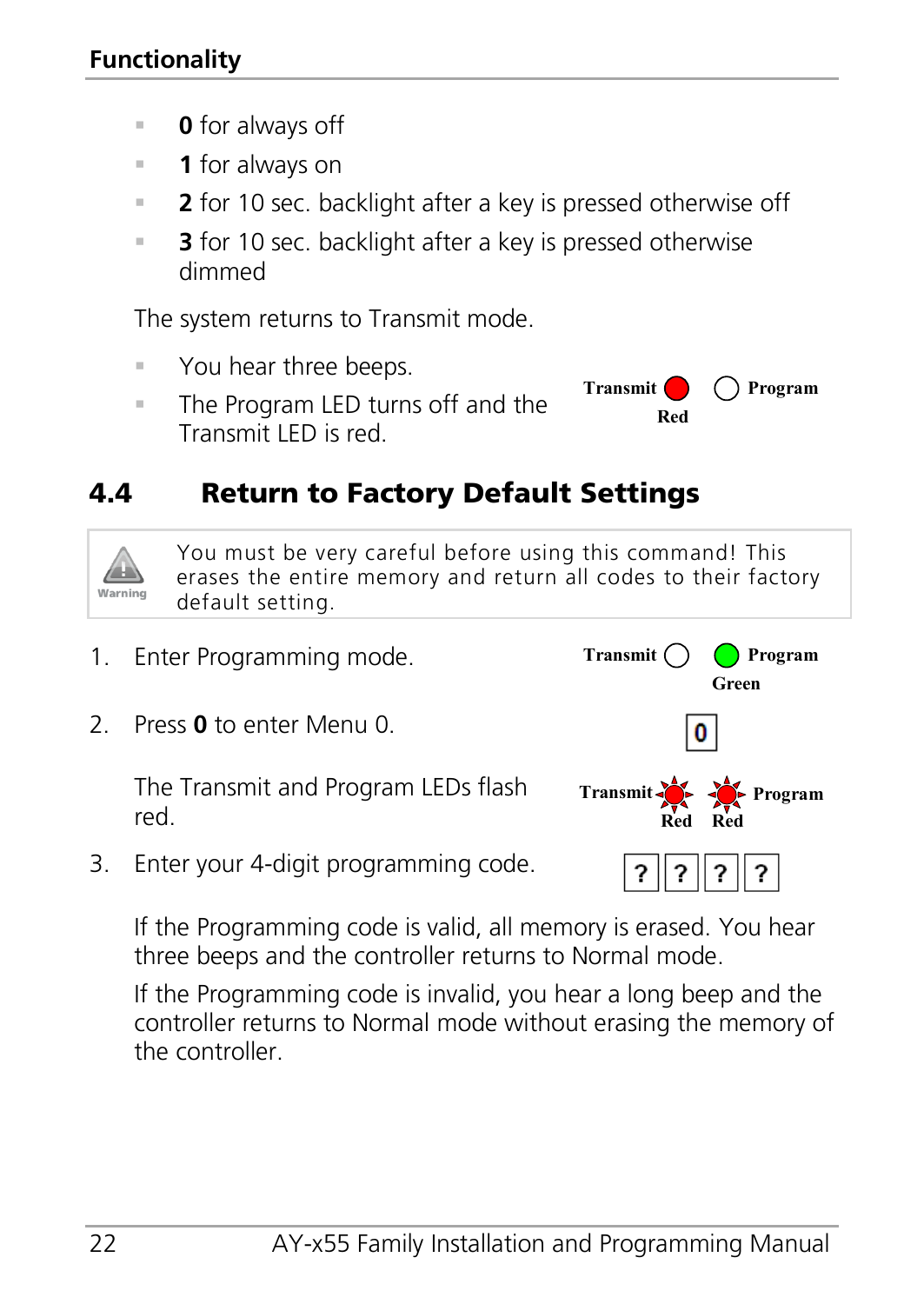- **0** for always off
- **1** for always on
- **2** for 10 sec. backlight after a key is pressed otherwise off
- **3** for 10 sec. backlight after a key is pressed otherwise dimmed

The system returns to Transmit mode.

- You hear three beeps.
- **The Program LED turns off and the** Transmit LED is red.



## <span id="page-21-0"></span>4.4 Return to Factory Default Settings



You must be very careful before using this command! This erases the entire memory and return all codes to their factory default setting.

- 1. Enter Programming mode. Transmit () **Program Green** 2. Press **0** to enter Menu 0.  $\bf{0}$ The Transmit and Program LEDs flash red.
- 3. Enter your 4-digit programming code.

If the Programming code is valid, all memory is erased. You hear three beeps and the controller returns to Normal mode.

If the Programming code is invalid, you hear a long beep and the controller returns to Normal mode without erasing the memory of the controller.

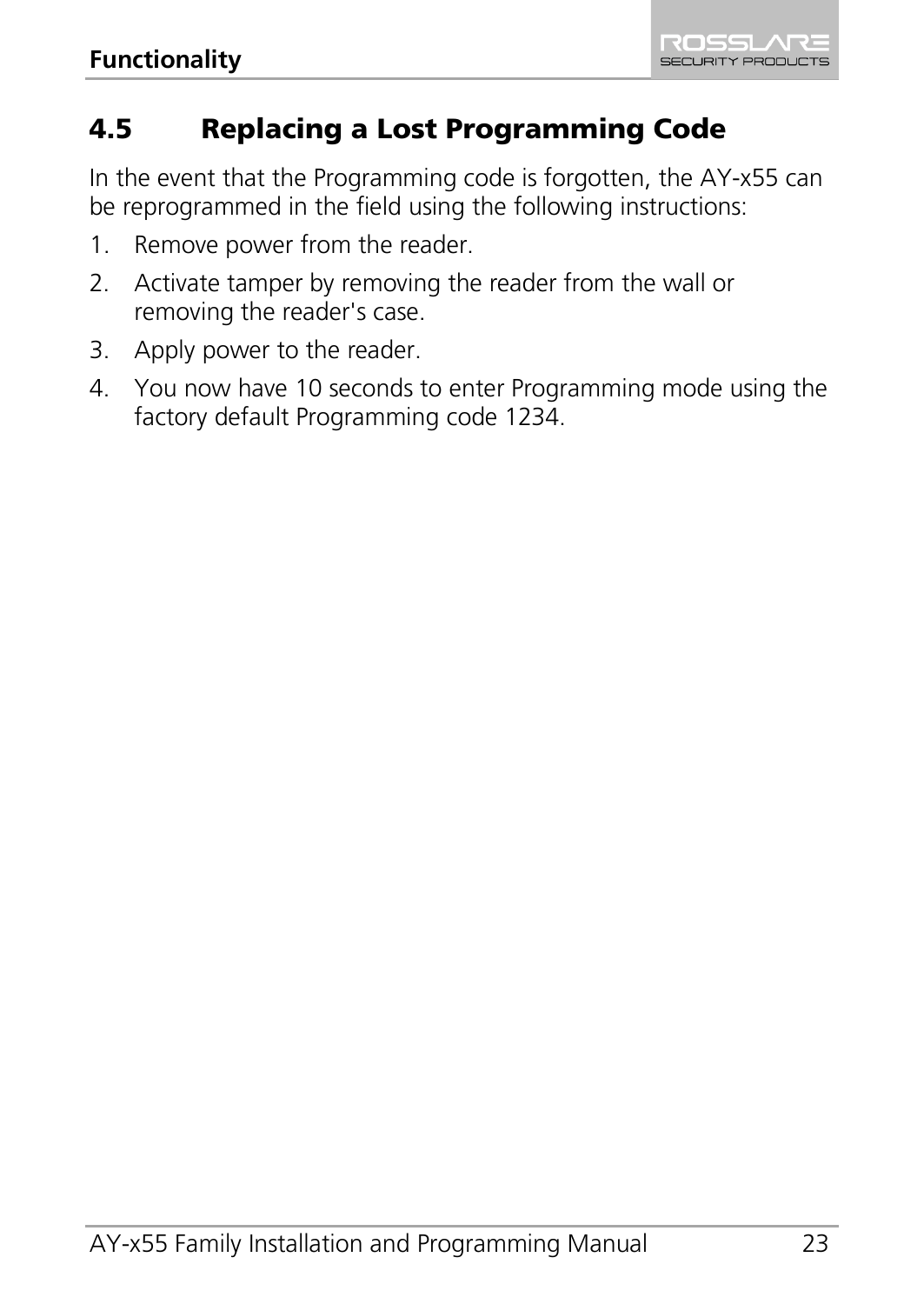# <span id="page-22-0"></span>4.5 Replacing a Lost Programming Code

In the event that the Programming code is forgotten, the AY-x55 can be reprogrammed in the field using the following instructions:

- 1. Remove power from the reader.
- 2. Activate tamper by removing the reader from the wall or removing the reader's case.
- 3. Apply power to the reader.
- 4. You now have 10 seconds to enter Programming mode using the factory default Programming code 1234.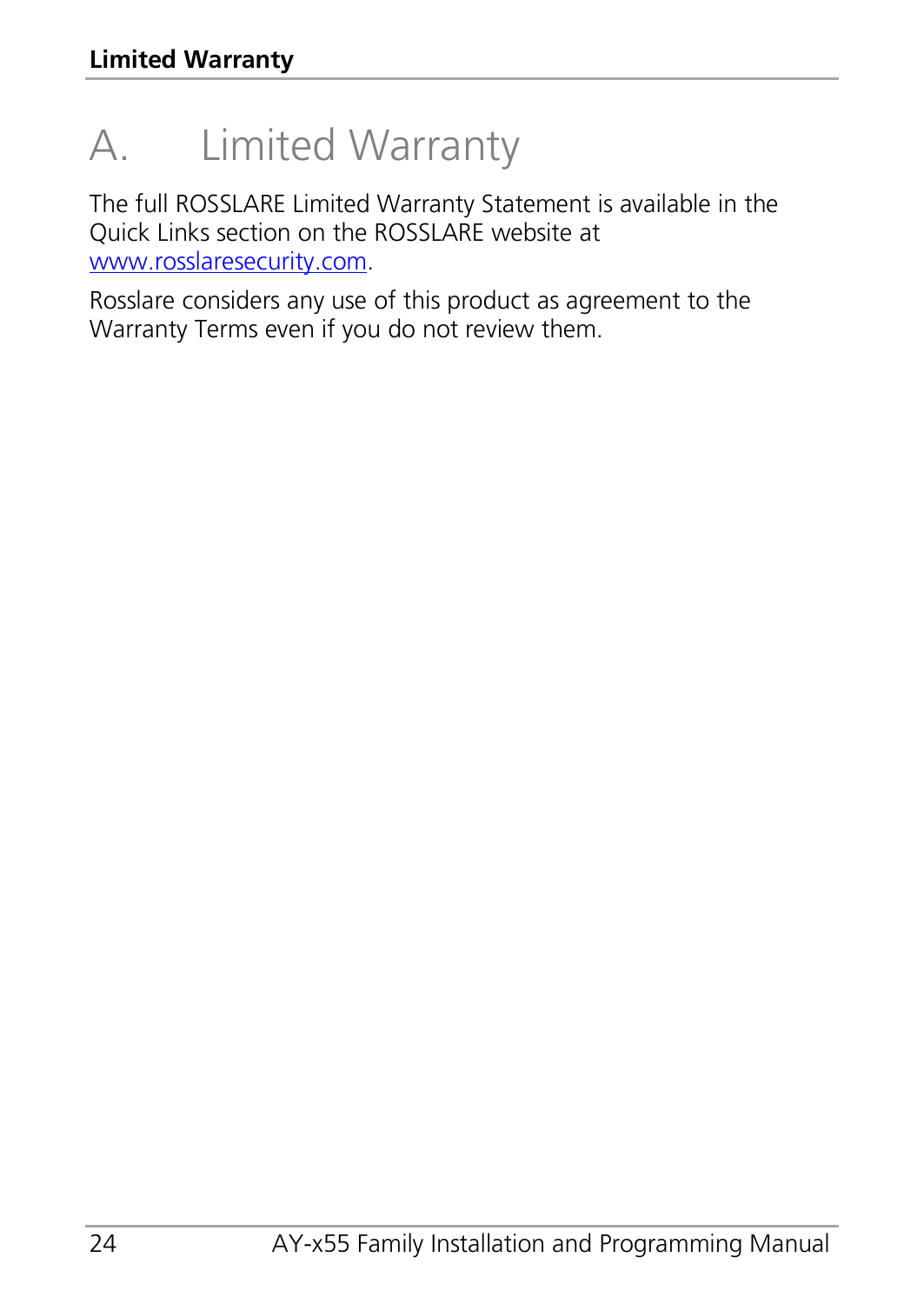# <span id="page-23-0"></span>A. Limited Warranty

The full ROSSLARE Limited Warranty Statement is available in the Quick Links section on the ROSSLARE website at [www.rosslaresecurity.com.](http://www.rosslaresecurity.com/)

Rosslare considers any use of this product as agreement to the Warranty Terms even if you do not review them.